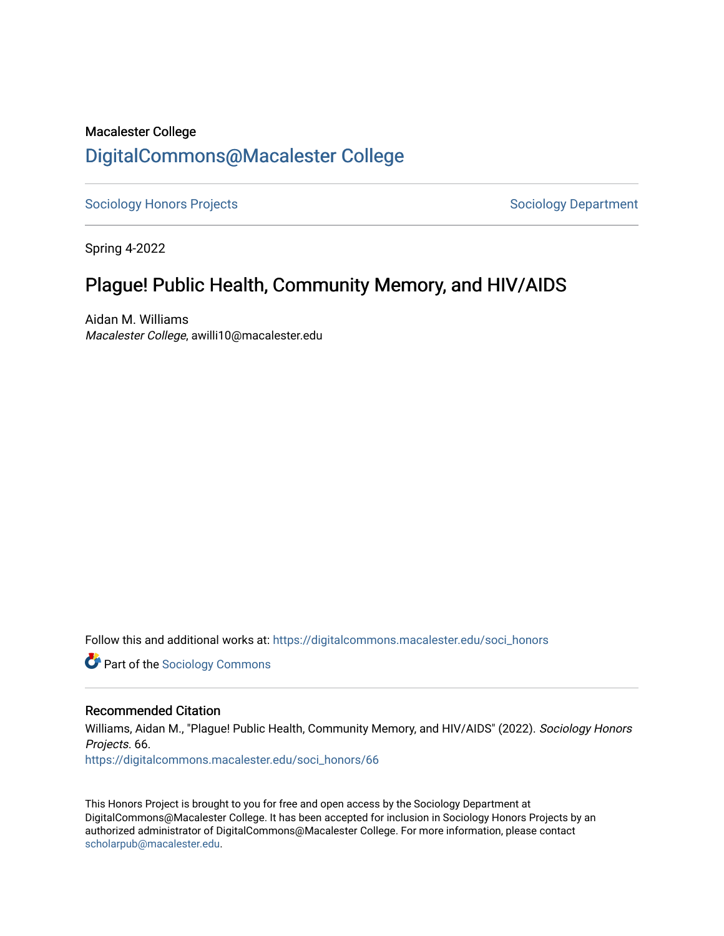# Macalester College [DigitalCommons@Macalester College](https://digitalcommons.macalester.edu/)

[Sociology Honors Projects](https://digitalcommons.macalester.edu/soci_honors) **Sociology Department** 

Spring 4-2022

# Plague! Public Health, Community Memory, and HIV/AIDS

Aidan M. Williams Macalester College, awilli10@macalester.edu

Follow this and additional works at: [https://digitalcommons.macalester.edu/soci\\_honors](https://digitalcommons.macalester.edu/soci_honors?utm_source=digitalcommons.macalester.edu%2Fsoci_honors%2F66&utm_medium=PDF&utm_campaign=PDFCoverPages)

**Part of the [Sociology Commons](https://network.bepress.com/hgg/discipline/416?utm_source=digitalcommons.macalester.edu%2Fsoci_honors%2F66&utm_medium=PDF&utm_campaign=PDFCoverPages)** 

## Recommended Citation

Williams, Aidan M., "Plague! Public Health, Community Memory, and HIV/AIDS" (2022). Sociology Honors Projects. 66.

[https://digitalcommons.macalester.edu/soci\\_honors/66](https://digitalcommons.macalester.edu/soci_honors/66?utm_source=digitalcommons.macalester.edu%2Fsoci_honors%2F66&utm_medium=PDF&utm_campaign=PDFCoverPages) 

This Honors Project is brought to you for free and open access by the Sociology Department at DigitalCommons@Macalester College. It has been accepted for inclusion in Sociology Honors Projects by an authorized administrator of DigitalCommons@Macalester College. For more information, please contact [scholarpub@macalester.edu](mailto:scholarpub@macalester.edu).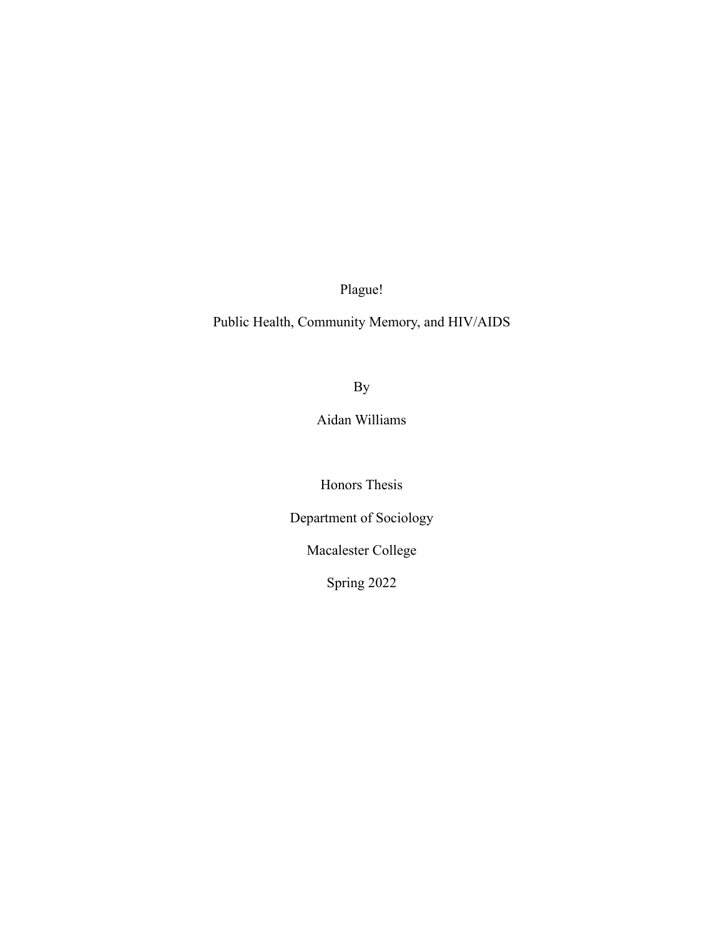Plague!

Public Health, Community Memory, and HIV/AIDS

By

Aidan Williams

Honors Thesis

Department of Sociology

Macalester College

Spring 2022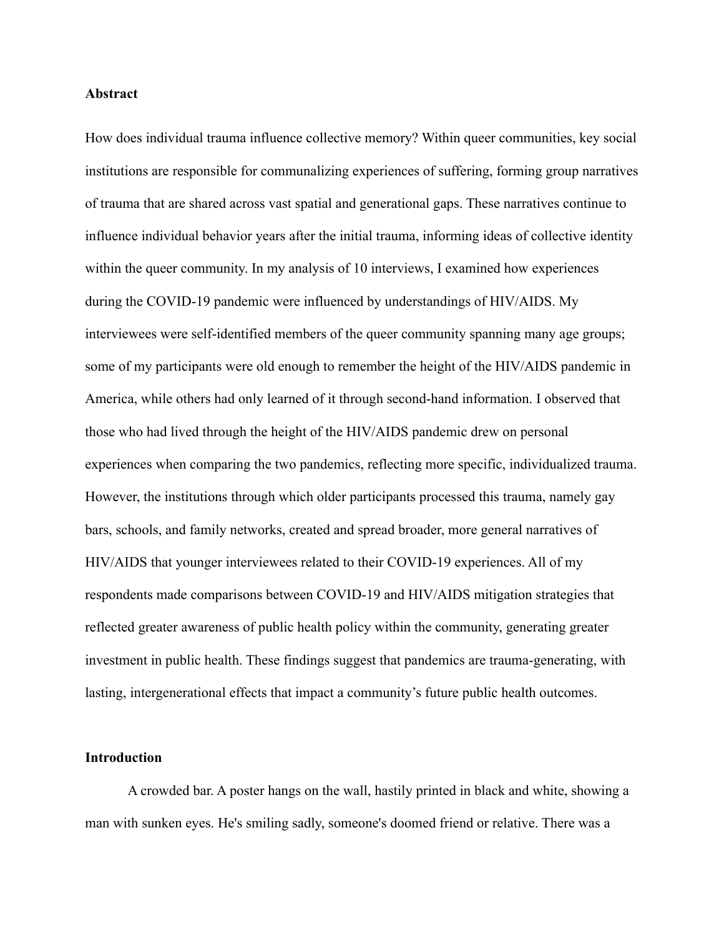## **Abstract**

How does individual trauma influence collective memory? Within queer communities, key social institutions are responsible for communalizing experiences of suffering, forming group narratives of trauma that are shared across vast spatial and generational gaps. These narratives continue to influence individual behavior years after the initial trauma, informing ideas of collective identity within the queer community. In my analysis of 10 interviews, I examined how experiences during the COVID-19 pandemic were influenced by understandings of HIV/AIDS. My interviewees were self-identified members of the queer community spanning many age groups; some of my participants were old enough to remember the height of the HIV/AIDS pandemic in America, while others had only learned of it through second-hand information. I observed that those who had lived through the height of the HIV/AIDS pandemic drew on personal experiences when comparing the two pandemics, reflecting more specific, individualized trauma. However, the institutions through which older participants processed this trauma, namely gay bars, schools, and family networks, created and spread broader, more general narratives of HIV/AIDS that younger interviewees related to their COVID-19 experiences. All of my respondents made comparisons between COVID-19 and HIV/AIDS mitigation strategies that reflected greater awareness of public health policy within the community, generating greater investment in public health. These findings suggest that pandemics are trauma-generating, with lasting, intergenerational effects that impact a community's future public health outcomes.

## **Introduction**

A crowded bar. A poster hangs on the wall, hastily printed in black and white, showing a man with sunken eyes. He's smiling sadly, someone's doomed friend or relative. There was a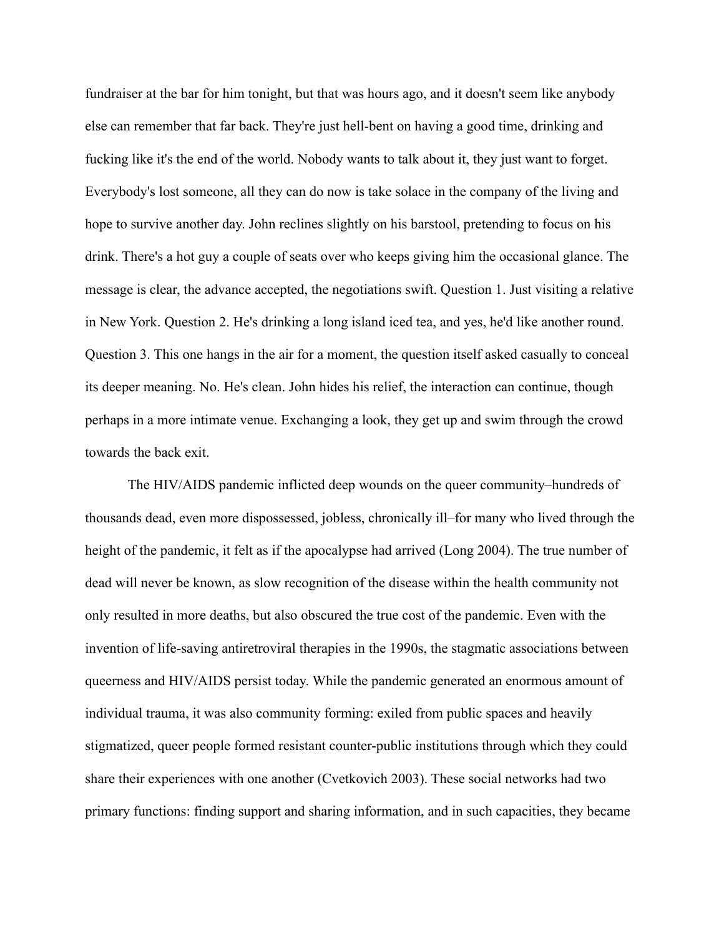fundraiser at the bar for him tonight, but that was hours ago, and it doesn't seem like anybody else can remember that far back. They're just hell-bent on having a good time, drinking and fucking like it's the end of the world. Nobody wants to talk about it, they just want to forget. Everybody's lost someone, all they can do now is take solace in the company of the living and hope to survive another day. John reclines slightly on his barstool, pretending to focus on his drink. There's a hot guy a couple of seats over who keeps giving him the occasional glance. The message is clear, the advance accepted, the negotiations swift. Question 1. Just visiting a relative in New York. Question 2. He's drinking a long island iced tea, and yes, he'd like another round. Question 3. This one hangs in the air for a moment, the question itself asked casually to conceal its deeper meaning. No. He's clean. John hides his relief, the interaction can continue, though perhaps in a more intimate venue. Exchanging a look, they get up and swim through the crowd towards the back exit.

The HIV/AIDS pandemic inflicted deep wounds on the queer community–hundreds of thousands dead, even more dispossessed, jobless, chronically ill–for many who lived through the height of the pandemic, it felt as if the apocalypse had arrived (Long 2004). The true number of dead will never be known, as slow recognition of the disease within the health community not only resulted in more deaths, but also obscured the true cost of the pandemic. Even with the invention of life-saving antiretroviral therapies in the 1990s, the stagmatic associations between queerness and HIV/AIDS persist today. While the pandemic generated an enormous amount of individual trauma, it was also community forming: exiled from public spaces and heavily stigmatized, queer people formed resistant counter-public institutions through which they could share their experiences with one another (Cvetkovich 2003). These social networks had two primary functions: finding support and sharing information, and in such capacities, they became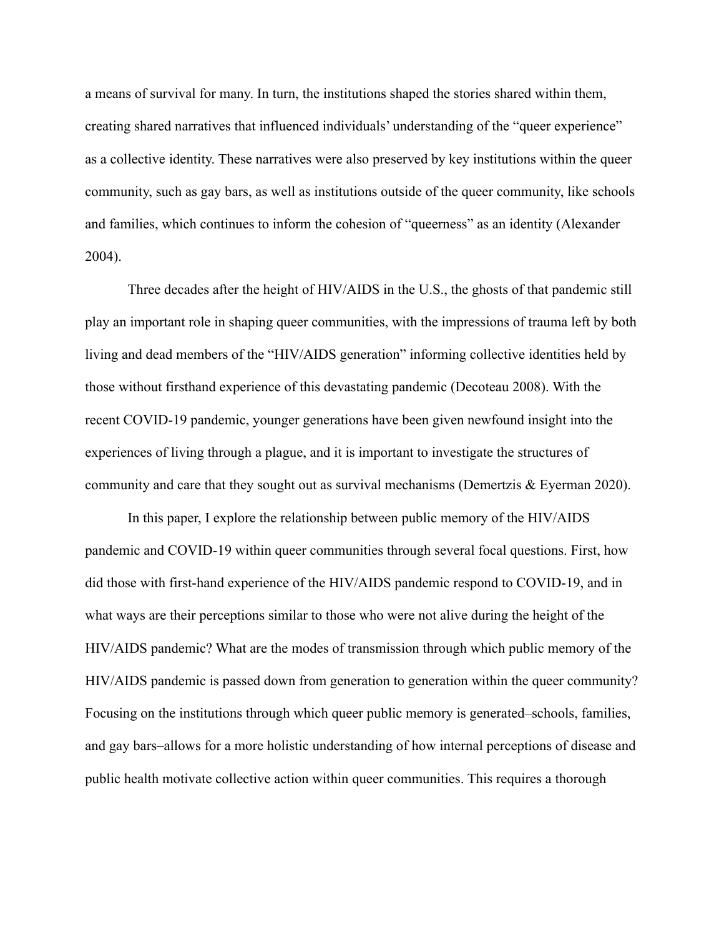a means of survival for many. In turn, the institutions shaped the stories shared within them, creating shared narratives that influenced individuals' understanding of the "queer experience" as a collective identity. These narratives were also preserved by key institutions within the queer community, such as gay bars, as well as institutions outside of the queer community, like schools and families, which continues to inform the cohesion of "queerness" as an identity (Alexander 2004).

Three decades after the height of HIV/AIDS in the U.S., the ghosts of that pandemic still play an important role in shaping queer communities, with the impressions of trauma left by both living and dead members of the "HIV/AIDS generation" informing collective identities held by those without firsthand experience of this devastating pandemic (Decoteau 2008). With the recent COVID-19 pandemic, younger generations have been given newfound insight into the experiences of living through a plague, and it is important to investigate the structures of community and care that they sought out as survival mechanisms (Demertzis & Eyerman 2020).

In this paper, I explore the relationship between public memory of the HIV/AIDS pandemic and COVID-19 within queer communities through several focal questions. First, how did those with first-hand experience of the HIV/AIDS pandemic respond to COVID-19, and in what ways are their perceptions similar to those who were not alive during the height of the HIV/AIDS pandemic? What are the modes of transmission through which public memory of the HIV/AIDS pandemic is passed down from generation to generation within the queer community? Focusing on the institutions through which queer public memory is generated–schools, families, and gay bars–allows for a more holistic understanding of how internal perceptions of disease and public health motivate collective action within queer communities. This requires a thorough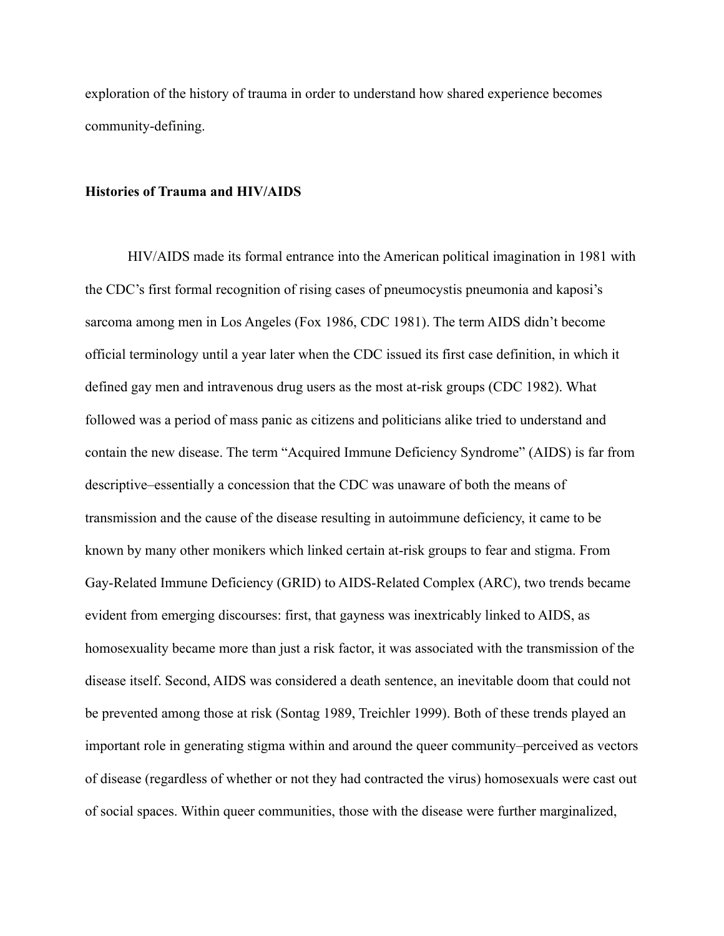exploration of the history of trauma in order to understand how shared experience becomes community-defining.

#### **Histories of Trauma and HIV/AIDS**

HIV/AIDS made its formal entrance into the American political imagination in 1981 with the CDC's first formal recognition of rising cases of pneumocystis pneumonia and kaposi's sarcoma among men in Los Angeles (Fox 1986, CDC 1981). The term AIDS didn't become official terminology until a year later when the CDC issued its first case definition, in which it defined gay men and intravenous drug users as the most at-risk groups (CDC 1982). What followed was a period of mass panic as citizens and politicians alike tried to understand and contain the new disease. The term "Acquired Immune Deficiency Syndrome" (AIDS) is far from descriptive–essentially a concession that the CDC was unaware of both the means of transmission and the cause of the disease resulting in autoimmune deficiency, it came to be known by many other monikers which linked certain at-risk groups to fear and stigma. From Gay-Related Immune Deficiency (GRID) to AIDS-Related Complex (ARC), two trends became evident from emerging discourses: first, that gayness was inextricably linked to AIDS, as homosexuality became more than just a risk factor, it was associated with the transmission of the disease itself. Second, AIDS was considered a death sentence, an inevitable doom that could not be prevented among those at risk (Sontag 1989, Treichler 1999). Both of these trends played an important role in generating stigma within and around the queer community–perceived as vectors of disease (regardless of whether or not they had contracted the virus) homosexuals were cast out of social spaces. Within queer communities, those with the disease were further marginalized,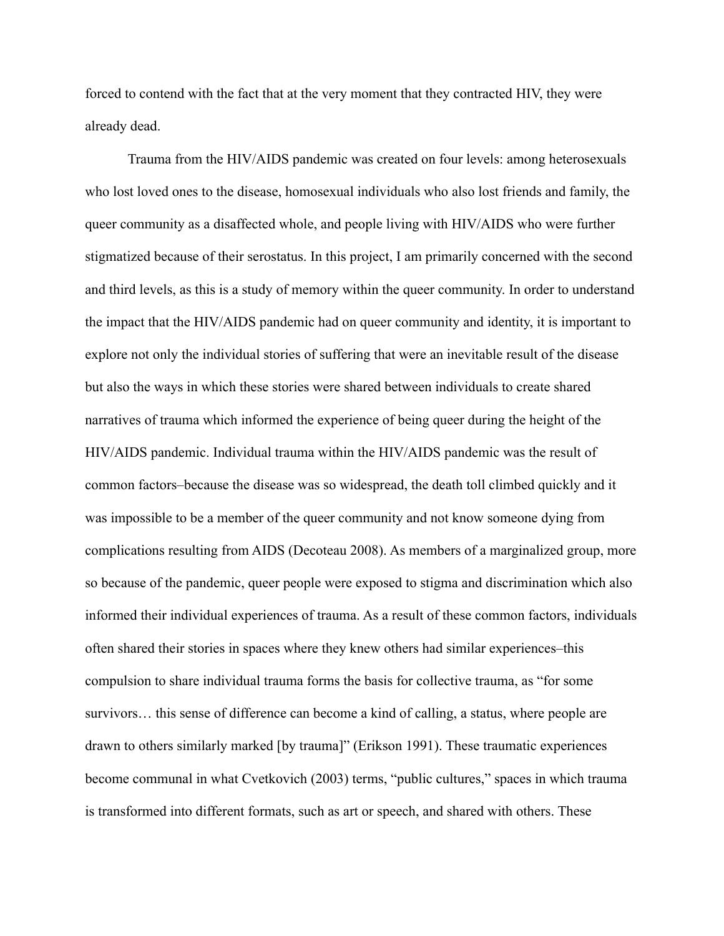forced to contend with the fact that at the very moment that they contracted HIV, they were already dead.

Trauma from the HIV/AIDS pandemic was created on four levels: among heterosexuals who lost loved ones to the disease, homosexual individuals who also lost friends and family, the queer community as a disaffected whole, and people living with HIV/AIDS who were further stigmatized because of their serostatus. In this project, I am primarily concerned with the second and third levels, as this is a study of memory within the queer community. In order to understand the impact that the HIV/AIDS pandemic had on queer community and identity, it is important to explore not only the individual stories of suffering that were an inevitable result of the disease but also the ways in which these stories were shared between individuals to create shared narratives of trauma which informed the experience of being queer during the height of the HIV/AIDS pandemic. Individual trauma within the HIV/AIDS pandemic was the result of common factors–because the disease was so widespread, the death toll climbed quickly and it was impossible to be a member of the queer community and not know someone dying from complications resulting from AIDS (Decoteau 2008). As members of a marginalized group, more so because of the pandemic, queer people were exposed to stigma and discrimination which also informed their individual experiences of trauma. As a result of these common factors, individuals often shared their stories in spaces where they knew others had similar experiences–this compulsion to share individual trauma forms the basis for collective trauma, as "for some survivors… this sense of difference can become a kind of calling, a status, where people are drawn to others similarly marked [by trauma]" (Erikson 1991). These traumatic experiences become communal in what Cvetkovich (2003) terms, "public cultures," spaces in which trauma is transformed into different formats, such as art or speech, and shared with others. These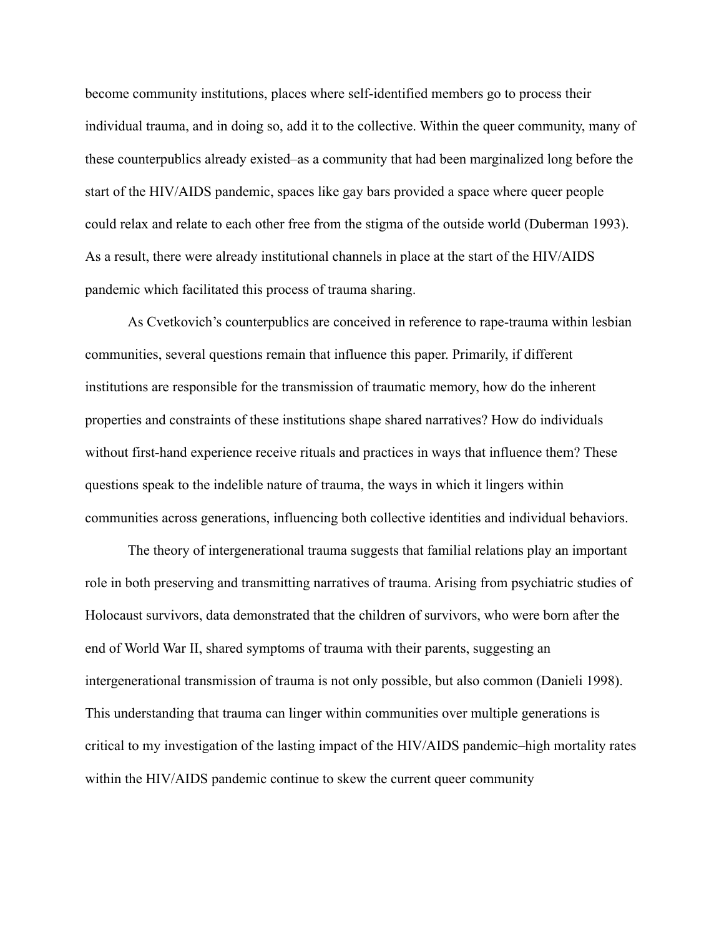become community institutions, places where self-identified members go to process their individual trauma, and in doing so, add it to the collective. Within the queer community, many of these counterpublics already existed–as a community that had been marginalized long before the start of the HIV/AIDS pandemic, spaces like gay bars provided a space where queer people could relax and relate to each other free from the stigma of the outside world (Duberman 1993). As a result, there were already institutional channels in place at the start of the HIV/AIDS pandemic which facilitated this process of trauma sharing.

As Cvetkovich's counterpublics are conceived in reference to rape-trauma within lesbian communities, several questions remain that influence this paper. Primarily, if different institutions are responsible for the transmission of traumatic memory, how do the inherent properties and constraints of these institutions shape shared narratives? How do individuals without first-hand experience receive rituals and practices in ways that influence them? These questions speak to the indelible nature of trauma, the ways in which it lingers within communities across generations, influencing both collective identities and individual behaviors.

The theory of intergenerational trauma suggests that familial relations play an important role in both preserving and transmitting narratives of trauma. Arising from psychiatric studies of Holocaust survivors, data demonstrated that the children of survivors, who were born after the end of World War II, shared symptoms of trauma with their parents, suggesting an intergenerational transmission of trauma is not only possible, but also common (Danieli 1998). This understanding that trauma can linger within communities over multiple generations is critical to my investigation of the lasting impact of the HIV/AIDS pandemic–high mortality rates within the HIV/AIDS pandemic continue to skew the current queer community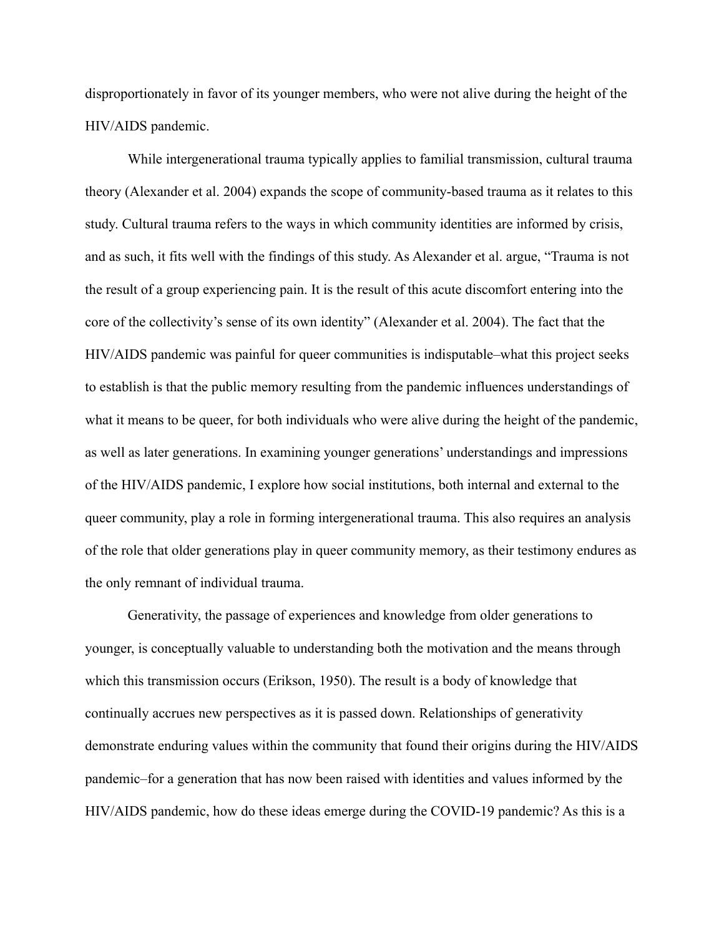disproportionately in favor of its younger members, who were not alive during the height of the HIV/AIDS pandemic.

While intergenerational trauma typically applies to familial transmission, cultural trauma theory (Alexander et al. 2004) expands the scope of community-based trauma as it relates to this study. Cultural trauma refers to the ways in which community identities are informed by crisis, and as such, it fits well with the findings of this study. As Alexander et al. argue, "Trauma is not the result of a group experiencing pain. It is the result of this acute discomfort entering into the core of the collectivity's sense of its own identity" (Alexander et al. 2004). The fact that the HIV/AIDS pandemic was painful for queer communities is indisputable–what this project seeks to establish is that the public memory resulting from the pandemic influences understandings of what it means to be queer, for both individuals who were alive during the height of the pandemic, as well as later generations. In examining younger generations' understandings and impressions of the HIV/AIDS pandemic, I explore how social institutions, both internal and external to the queer community, play a role in forming intergenerational trauma. This also requires an analysis of the role that older generations play in queer community memory, as their testimony endures as the only remnant of individual trauma.

Generativity, the passage of experiences and knowledge from older generations to younger, is conceptually valuable to understanding both the motivation and the means through which this transmission occurs (Erikson, 1950). The result is a body of knowledge that continually accrues new perspectives as it is passed down. Relationships of generativity demonstrate enduring values within the community that found their origins during the HIV/AIDS pandemic–for a generation that has now been raised with identities and values informed by the HIV/AIDS pandemic, how do these ideas emerge during the COVID-19 pandemic? As this is a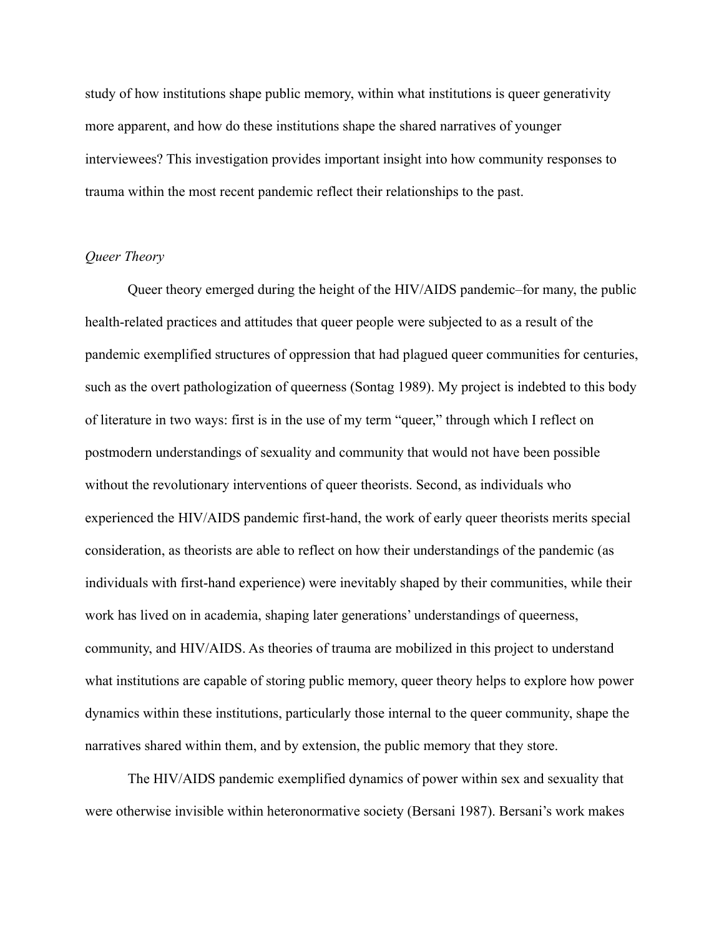study of how institutions shape public memory, within what institutions is queer generativity more apparent, and how do these institutions shape the shared narratives of younger interviewees? This investigation provides important insight into how community responses to trauma within the most recent pandemic reflect their relationships to the past.

## *Queer Theory*

Queer theory emerged during the height of the HIV/AIDS pandemic–for many, the public health-related practices and attitudes that queer people were subjected to as a result of the pandemic exemplified structures of oppression that had plagued queer communities for centuries, such as the overt pathologization of queerness (Sontag 1989). My project is indebted to this body of literature in two ways: first is in the use of my term "queer," through which I reflect on postmodern understandings of sexuality and community that would not have been possible without the revolutionary interventions of queer theorists. Second, as individuals who experienced the HIV/AIDS pandemic first-hand, the work of early queer theorists merits special consideration, as theorists are able to reflect on how their understandings of the pandemic (as individuals with first-hand experience) were inevitably shaped by their communities, while their work has lived on in academia, shaping later generations' understandings of queerness, community, and HIV/AIDS. As theories of trauma are mobilized in this project to understand what institutions are capable of storing public memory, queer theory helps to explore how power dynamics within these institutions, particularly those internal to the queer community, shape the narratives shared within them, and by extension, the public memory that they store.

The HIV/AIDS pandemic exemplified dynamics of power within sex and sexuality that were otherwise invisible within heteronormative society (Bersani 1987). Bersani's work makes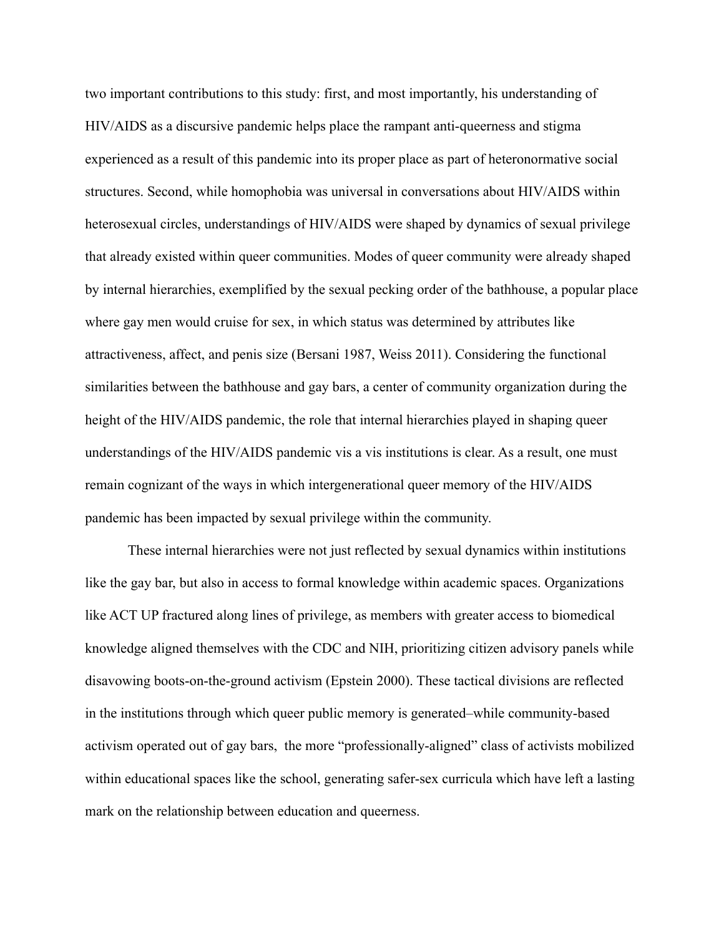two important contributions to this study: first, and most importantly, his understanding of HIV/AIDS as a discursive pandemic helps place the rampant anti-queerness and stigma experienced as a result of this pandemic into its proper place as part of heteronormative social structures. Second, while homophobia was universal in conversations about HIV/AIDS within heterosexual circles, understandings of HIV/AIDS were shaped by dynamics of sexual privilege that already existed within queer communities. Modes of queer community were already shaped by internal hierarchies, exemplified by the sexual pecking order of the bathhouse, a popular place where gay men would cruise for sex, in which status was determined by attributes like attractiveness, affect, and penis size (Bersani 1987, Weiss 2011). Considering the functional similarities between the bathhouse and gay bars, a center of community organization during the height of the HIV/AIDS pandemic, the role that internal hierarchies played in shaping queer understandings of the HIV/AIDS pandemic vis a vis institutions is clear. As a result, one must remain cognizant of the ways in which intergenerational queer memory of the HIV/AIDS pandemic has been impacted by sexual privilege within the community.

These internal hierarchies were not just reflected by sexual dynamics within institutions like the gay bar, but also in access to formal knowledge within academic spaces. Organizations like ACT UP fractured along lines of privilege, as members with greater access to biomedical knowledge aligned themselves with the CDC and NIH, prioritizing citizen advisory panels while disavowing boots-on-the-ground activism (Epstein 2000). These tactical divisions are reflected in the institutions through which queer public memory is generated–while community-based activism operated out of gay bars, the more "professionally-aligned" class of activists mobilized within educational spaces like the school, generating safer-sex curricula which have left a lasting mark on the relationship between education and queerness.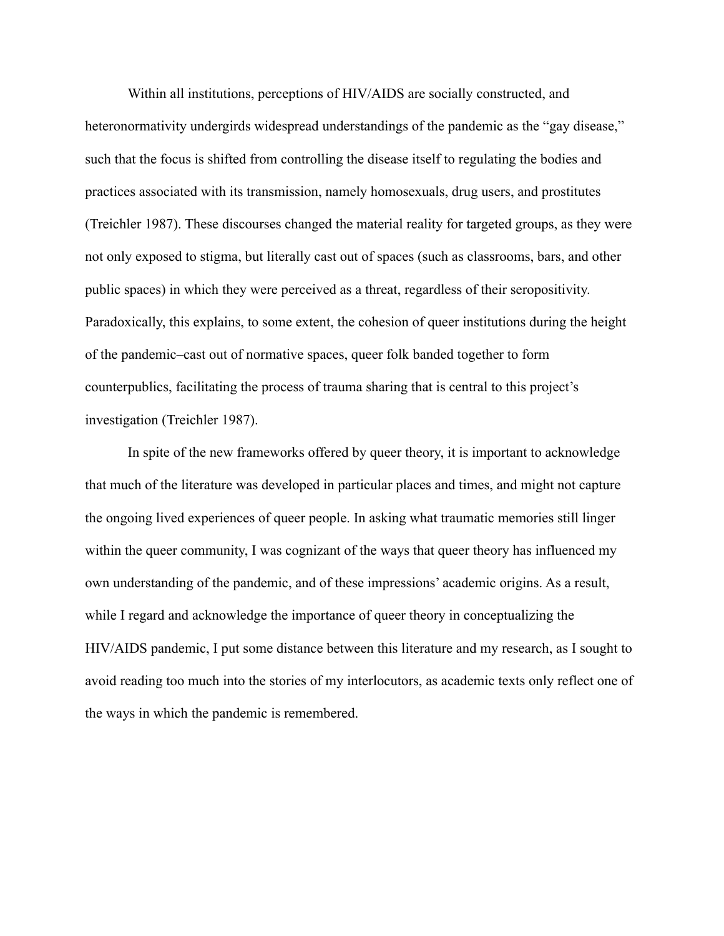Within all institutions, perceptions of HIV/AIDS are socially constructed, and heteronormativity undergirds widespread understandings of the pandemic as the "gay disease," such that the focus is shifted from controlling the disease itself to regulating the bodies and practices associated with its transmission, namely homosexuals, drug users, and prostitutes (Treichler 1987). These discourses changed the material reality for targeted groups, as they were not only exposed to stigma, but literally cast out of spaces (such as classrooms, bars, and other public spaces) in which they were perceived as a threat, regardless of their seropositivity. Paradoxically, this explains, to some extent, the cohesion of queer institutions during the height of the pandemic–cast out of normative spaces, queer folk banded together to form counterpublics, facilitating the process of trauma sharing that is central to this project's investigation (Treichler 1987).

In spite of the new frameworks offered by queer theory, it is important to acknowledge that much of the literature was developed in particular places and times, and might not capture the ongoing lived experiences of queer people. In asking what traumatic memories still linger within the queer community, I was cognizant of the ways that queer theory has influenced my own understanding of the pandemic, and of these impressions' academic origins. As a result, while I regard and acknowledge the importance of queer theory in conceptualizing the HIV/AIDS pandemic, I put some distance between this literature and my research, as I sought to avoid reading too much into the stories of my interlocutors, as academic texts only reflect one of the ways in which the pandemic is remembered.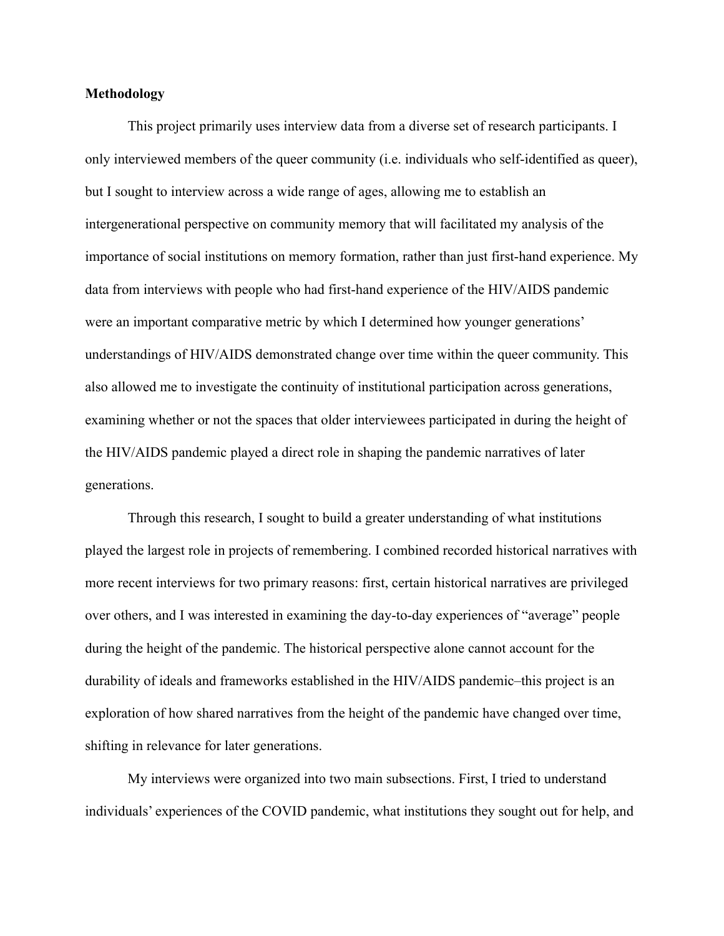## **Methodology**

This project primarily uses interview data from a diverse set of research participants. I only interviewed members of the queer community (i.e. individuals who self-identified as queer), but I sought to interview across a wide range of ages, allowing me to establish an intergenerational perspective on community memory that will facilitated my analysis of the importance of social institutions on memory formation, rather than just first-hand experience. My data from interviews with people who had first-hand experience of the HIV/AIDS pandemic were an important comparative metric by which I determined how younger generations' understandings of HIV/AIDS demonstrated change over time within the queer community. This also allowed me to investigate the continuity of institutional participation across generations, examining whether or not the spaces that older interviewees participated in during the height of the HIV/AIDS pandemic played a direct role in shaping the pandemic narratives of later generations.

Through this research, I sought to build a greater understanding of what institutions played the largest role in projects of remembering. I combined recorded historical narratives with more recent interviews for two primary reasons: first, certain historical narratives are privileged over others, and I was interested in examining the day-to-day experiences of "average" people during the height of the pandemic. The historical perspective alone cannot account for the durability of ideals and frameworks established in the HIV/AIDS pandemic–this project is an exploration of how shared narratives from the height of the pandemic have changed over time, shifting in relevance for later generations.

My interviews were organized into two main subsections. First, I tried to understand individuals' experiences of the COVID pandemic, what institutions they sought out for help, and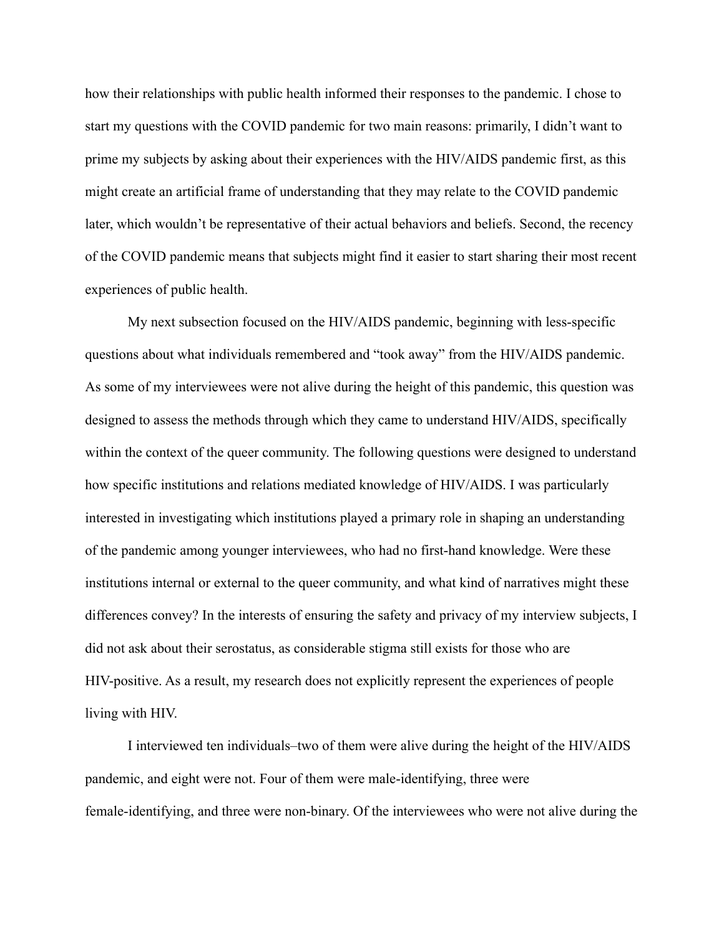how their relationships with public health informed their responses to the pandemic. I chose to start my questions with the COVID pandemic for two main reasons: primarily, I didn't want to prime my subjects by asking about their experiences with the HIV/AIDS pandemic first, as this might create an artificial frame of understanding that they may relate to the COVID pandemic later, which wouldn't be representative of their actual behaviors and beliefs. Second, the recency of the COVID pandemic means that subjects might find it easier to start sharing their most recent experiences of public health.

My next subsection focused on the HIV/AIDS pandemic, beginning with less-specific questions about what individuals remembered and "took away" from the HIV/AIDS pandemic. As some of my interviewees were not alive during the height of this pandemic, this question was designed to assess the methods through which they came to understand HIV/AIDS, specifically within the context of the queer community. The following questions were designed to understand how specific institutions and relations mediated knowledge of HIV/AIDS. I was particularly interested in investigating which institutions played a primary role in shaping an understanding of the pandemic among younger interviewees, who had no first-hand knowledge. Were these institutions internal or external to the queer community, and what kind of narratives might these differences convey? In the interests of ensuring the safety and privacy of my interview subjects, I did not ask about their serostatus, as considerable stigma still exists for those who are HIV-positive. As a result, my research does not explicitly represent the experiences of people living with HIV.

I interviewed ten individuals–two of them were alive during the height of the HIV/AIDS pandemic, and eight were not. Four of them were male-identifying, three were female-identifying, and three were non-binary. Of the interviewees who were not alive during the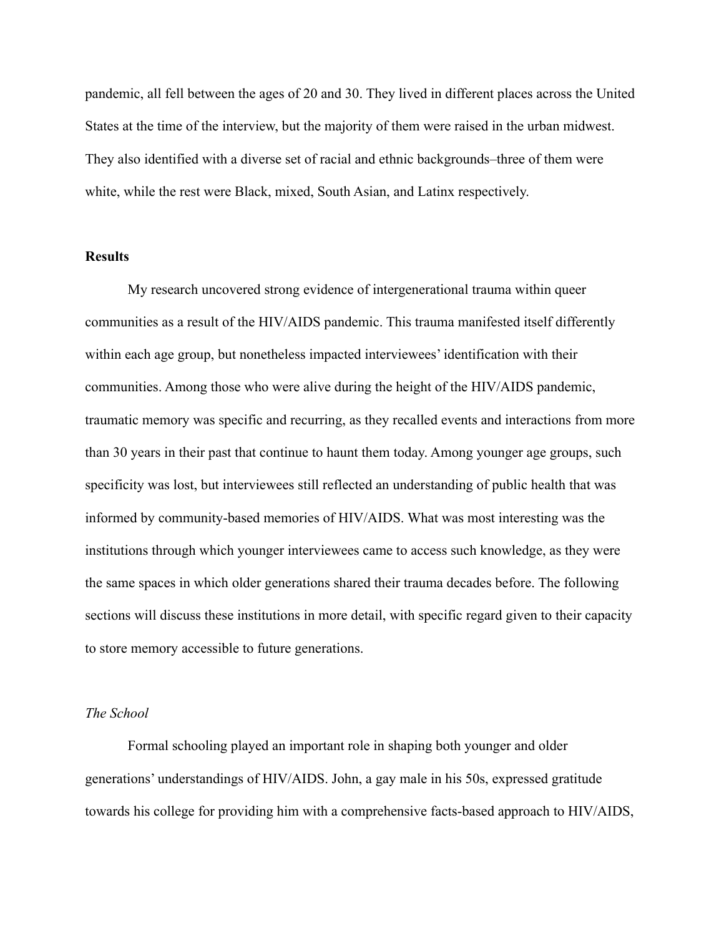pandemic, all fell between the ages of 20 and 30. They lived in different places across the United States at the time of the interview, but the majority of them were raised in the urban midwest. They also identified with a diverse set of racial and ethnic backgrounds–three of them were white, while the rest were Black, mixed, South Asian, and Latinx respectively.

#### **Results**

My research uncovered strong evidence of intergenerational trauma within queer communities as a result of the HIV/AIDS pandemic. This trauma manifested itself differently within each age group, but nonetheless impacted interviewees' identification with their communities. Among those who were alive during the height of the HIV/AIDS pandemic, traumatic memory was specific and recurring, as they recalled events and interactions from more than 30 years in their past that continue to haunt them today. Among younger age groups, such specificity was lost, but interviewees still reflected an understanding of public health that was informed by community-based memories of HIV/AIDS. What was most interesting was the institutions through which younger interviewees came to access such knowledge, as they were the same spaces in which older generations shared their trauma decades before. The following sections will discuss these institutions in more detail, with specific regard given to their capacity to store memory accessible to future generations.

#### *The School*

Formal schooling played an important role in shaping both younger and older generations' understandings of HIV/AIDS. John, a gay male in his 50s, expressed gratitude towards his college for providing him with a comprehensive facts-based approach to HIV/AIDS,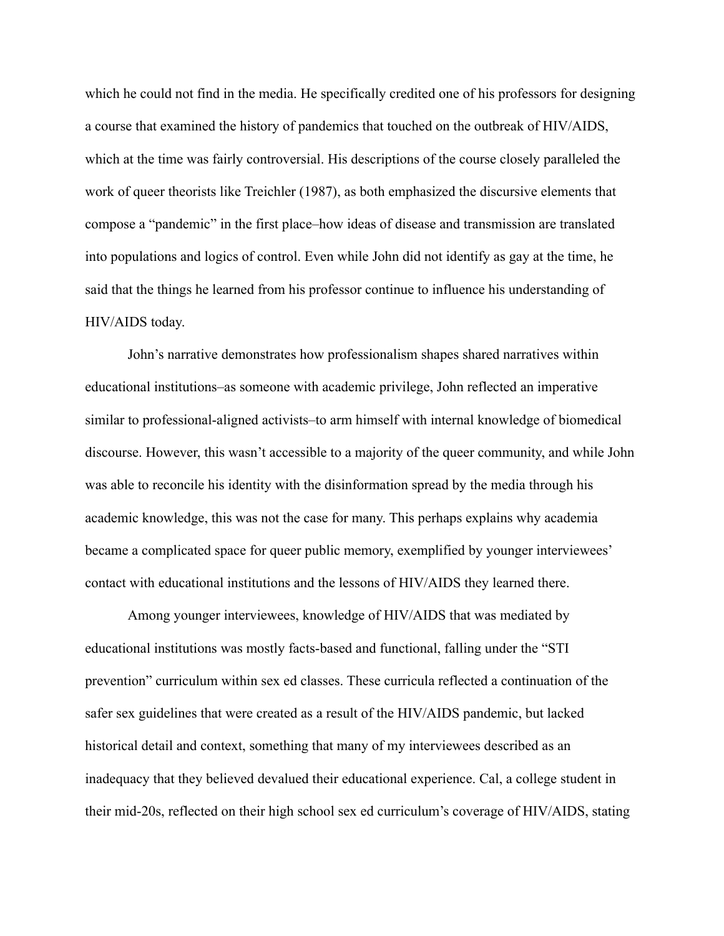which he could not find in the media. He specifically credited one of his professors for designing a course that examined the history of pandemics that touched on the outbreak of HIV/AIDS, which at the time was fairly controversial. His descriptions of the course closely paralleled the work of queer theorists like Treichler (1987), as both emphasized the discursive elements that compose a "pandemic" in the first place–how ideas of disease and transmission are translated into populations and logics of control. Even while John did not identify as gay at the time, he said that the things he learned from his professor continue to influence his understanding of HIV/AIDS today.

John's narrative demonstrates how professionalism shapes shared narratives within educational institutions–as someone with academic privilege, John reflected an imperative similar to professional-aligned activists–to arm himself with internal knowledge of biomedical discourse. However, this wasn't accessible to a majority of the queer community, and while John was able to reconcile his identity with the disinformation spread by the media through his academic knowledge, this was not the case for many. This perhaps explains why academia became a complicated space for queer public memory, exemplified by younger interviewees' contact with educational institutions and the lessons of HIV/AIDS they learned there.

Among younger interviewees, knowledge of HIV/AIDS that was mediated by educational institutions was mostly facts-based and functional, falling under the "STI prevention" curriculum within sex ed classes. These curricula reflected a continuation of the safer sex guidelines that were created as a result of the HIV/AIDS pandemic, but lacked historical detail and context, something that many of my interviewees described as an inadequacy that they believed devalued their educational experience. Cal, a college student in their mid-20s, reflected on their high school sex ed curriculum's coverage of HIV/AIDS, stating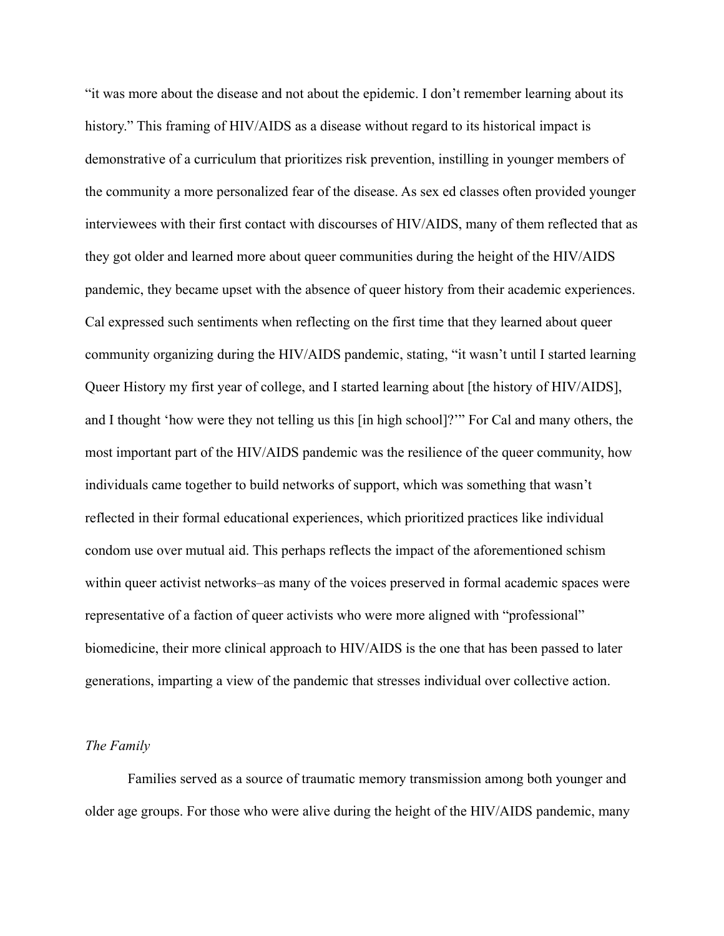"it was more about the disease and not about the epidemic. I don't remember learning about its history." This framing of HIV/AIDS as a disease without regard to its historical impact is demonstrative of a curriculum that prioritizes risk prevention, instilling in younger members of the community a more personalized fear of the disease. As sex ed classes often provided younger interviewees with their first contact with discourses of HIV/AIDS, many of them reflected that as they got older and learned more about queer communities during the height of the HIV/AIDS pandemic, they became upset with the absence of queer history from their academic experiences. Cal expressed such sentiments when reflecting on the first time that they learned about queer community organizing during the HIV/AIDS pandemic, stating, "it wasn't until I started learning Queer History my first year of college, and I started learning about [the history of HIV/AIDS], and I thought 'how were they not telling us this [in high school]?'" For Cal and many others, the most important part of the HIV/AIDS pandemic was the resilience of the queer community, how individuals came together to build networks of support, which was something that wasn't reflected in their formal educational experiences, which prioritized practices like individual condom use over mutual aid. This perhaps reflects the impact of the aforementioned schism within queer activist networks–as many of the voices preserved in formal academic spaces were representative of a faction of queer activists who were more aligned with "professional" biomedicine, their more clinical approach to HIV/AIDS is the one that has been passed to later generations, imparting a view of the pandemic that stresses individual over collective action.

## *The Family*

Families served as a source of traumatic memory transmission among both younger and older age groups. For those who were alive during the height of the HIV/AIDS pandemic, many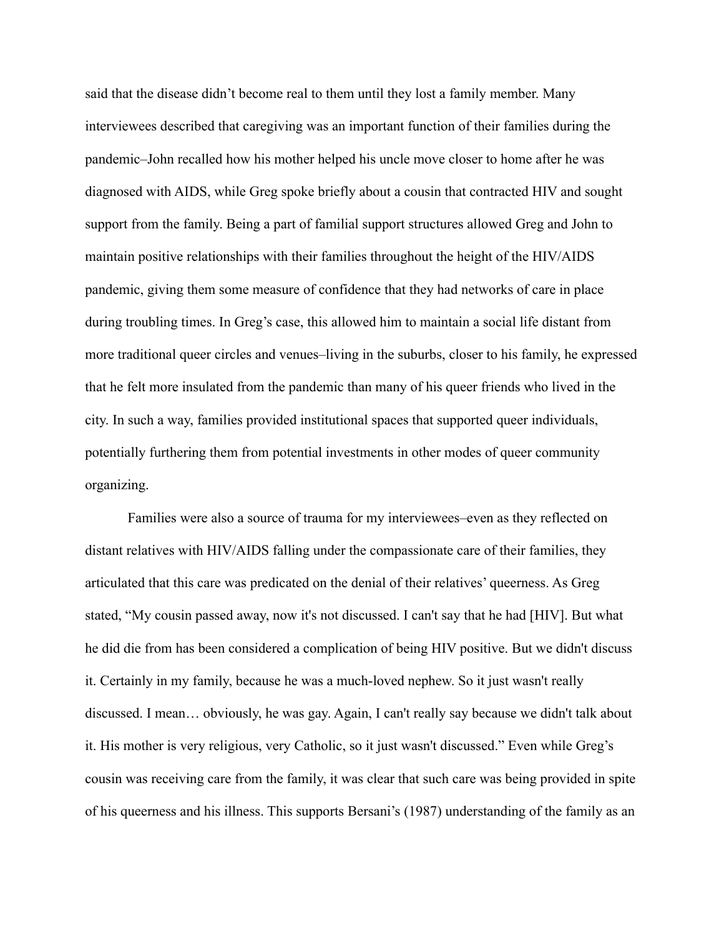said that the disease didn't become real to them until they lost a family member. Many interviewees described that caregiving was an important function of their families during the pandemic–John recalled how his mother helped his uncle move closer to home after he was diagnosed with AIDS, while Greg spoke briefly about a cousin that contracted HIV and sought support from the family. Being a part of familial support structures allowed Greg and John to maintain positive relationships with their families throughout the height of the HIV/AIDS pandemic, giving them some measure of confidence that they had networks of care in place during troubling times. In Greg's case, this allowed him to maintain a social life distant from more traditional queer circles and venues–living in the suburbs, closer to his family, he expressed that he felt more insulated from the pandemic than many of his queer friends who lived in the city. In such a way, families provided institutional spaces that supported queer individuals, potentially furthering them from potential investments in other modes of queer community organizing.

Families were also a source of trauma for my interviewees–even as they reflected on distant relatives with HIV/AIDS falling under the compassionate care of their families, they articulated that this care was predicated on the denial of their relatives' queerness. As Greg stated, "My cousin passed away, now it's not discussed. I can't say that he had [HIV]. But what he did die from has been considered a complication of being HIV positive. But we didn't discuss it. Certainly in my family, because he was a much-loved nephew. So it just wasn't really discussed. I mean… obviously, he was gay. Again, I can't really say because we didn't talk about it. His mother is very religious, very Catholic, so it just wasn't discussed." Even while Greg's cousin was receiving care from the family, it was clear that such care was being provided in spite of his queerness and his illness. This supports Bersani's (1987) understanding of the family as an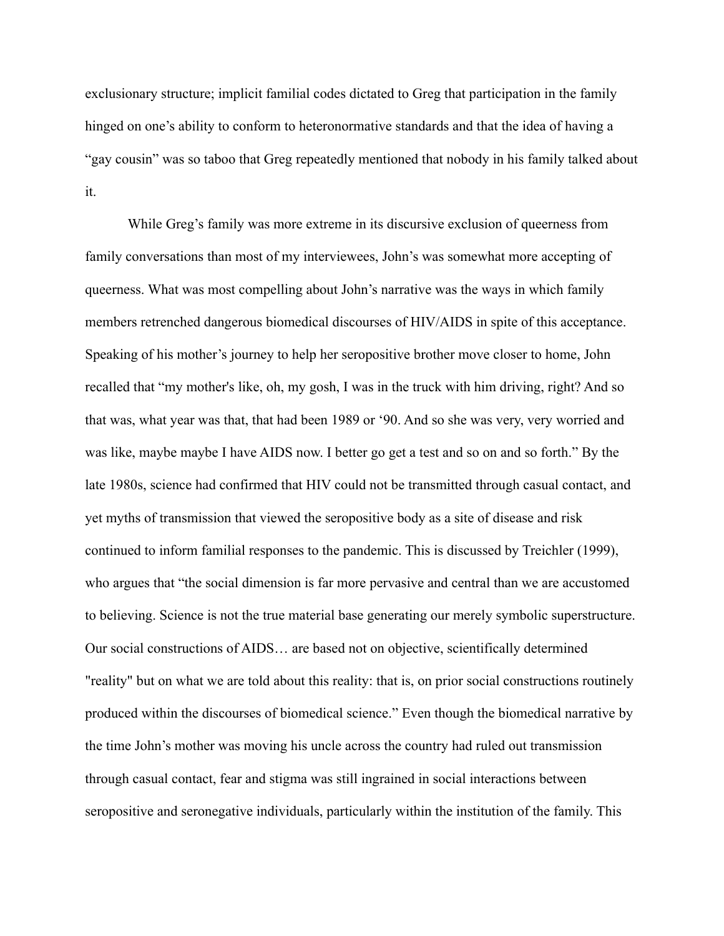exclusionary structure; implicit familial codes dictated to Greg that participation in the family hinged on one's ability to conform to heteronormative standards and that the idea of having a "gay cousin" was so taboo that Greg repeatedly mentioned that nobody in his family talked about it.

While Greg's family was more extreme in its discursive exclusion of queerness from family conversations than most of my interviewees, John's was somewhat more accepting of queerness. What was most compelling about John's narrative was the ways in which family members retrenched dangerous biomedical discourses of HIV/AIDS in spite of this acceptance. Speaking of his mother's journey to help her seropositive brother move closer to home, John recalled that "my mother's like, oh, my gosh, I was in the truck with him driving, right? And so that was, what year was that, that had been 1989 or '90. And so she was very, very worried and was like, maybe maybe I have AIDS now. I better go get a test and so on and so forth." By the late 1980s, science had confirmed that HIV could not be transmitted through casual contact, and yet myths of transmission that viewed the seropositive body as a site of disease and risk continued to inform familial responses to the pandemic. This is discussed by Treichler (1999), who argues that "the social dimension is far more pervasive and central than we are accustomed to believing. Science is not the true material base generating our merely symbolic superstructure. Our social constructions of AIDS… are based not on objective, scientifically determined "reality" but on what we are told about this reality: that is, on prior social constructions routinely produced within the discourses of biomedical science." Even though the biomedical narrative by the time John's mother was moving his uncle across the country had ruled out transmission through casual contact, fear and stigma was still ingrained in social interactions between seropositive and seronegative individuals, particularly within the institution of the family. This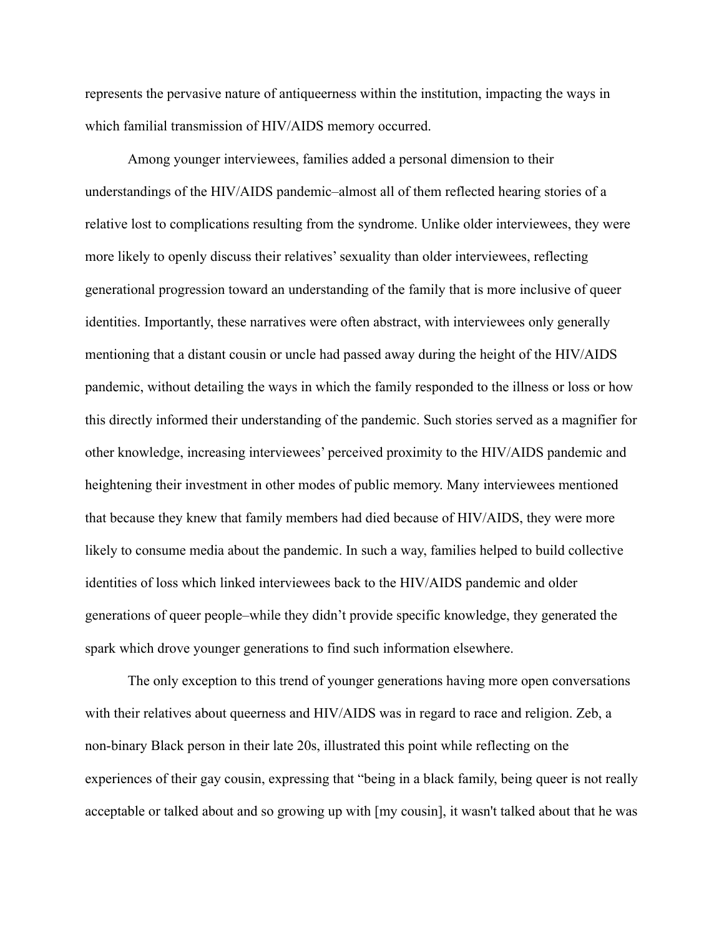represents the pervasive nature of antiqueerness within the institution, impacting the ways in which familial transmission of HIV/AIDS memory occurred.

Among younger interviewees, families added a personal dimension to their understandings of the HIV/AIDS pandemic–almost all of them reflected hearing stories of a relative lost to complications resulting from the syndrome. Unlike older interviewees, they were more likely to openly discuss their relatives' sexuality than older interviewees, reflecting generational progression toward an understanding of the family that is more inclusive of queer identities. Importantly, these narratives were often abstract, with interviewees only generally mentioning that a distant cousin or uncle had passed away during the height of the HIV/AIDS pandemic, without detailing the ways in which the family responded to the illness or loss or how this directly informed their understanding of the pandemic. Such stories served as a magnifier for other knowledge, increasing interviewees' perceived proximity to the HIV/AIDS pandemic and heightening their investment in other modes of public memory. Many interviewees mentioned that because they knew that family members had died because of HIV/AIDS, they were more likely to consume media about the pandemic. In such a way, families helped to build collective identities of loss which linked interviewees back to the HIV/AIDS pandemic and older generations of queer people–while they didn't provide specific knowledge, they generated the spark which drove younger generations to find such information elsewhere.

The only exception to this trend of younger generations having more open conversations with their relatives about queerness and HIV/AIDS was in regard to race and religion. Zeb, a non-binary Black person in their late 20s, illustrated this point while reflecting on the experiences of their gay cousin, expressing that "being in a black family, being queer is not really acceptable or talked about and so growing up with [my cousin], it wasn't talked about that he was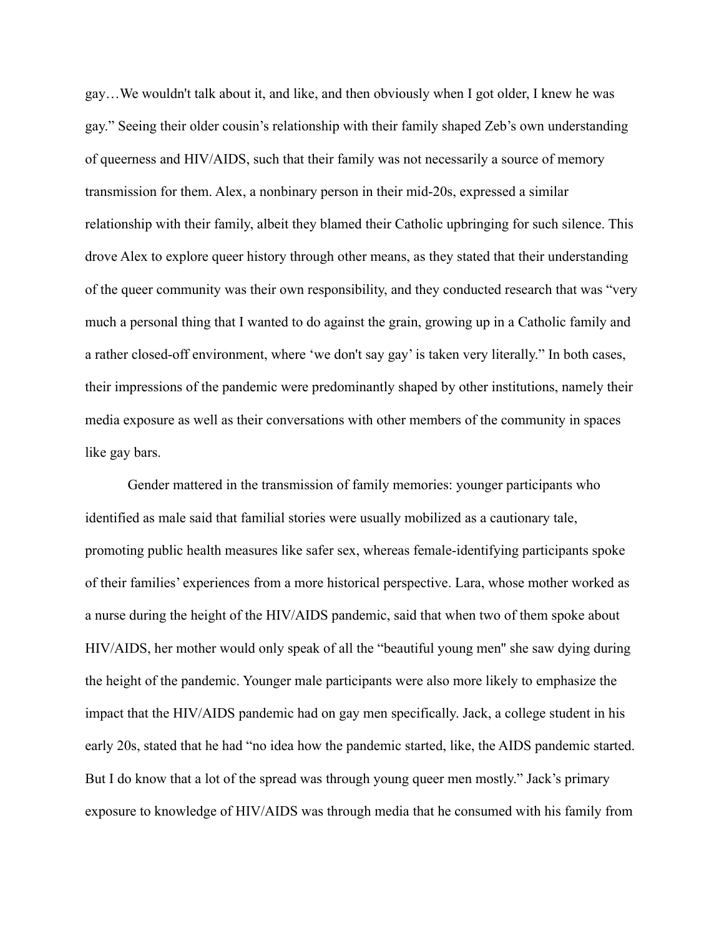gay…We wouldn't talk about it, and like, and then obviously when I got older, I knew he was gay." Seeing their older cousin's relationship with their family shaped Zeb's own understanding of queerness and HIV/AIDS, such that their family was not necessarily a source of memory transmission for them. Alex, a nonbinary person in their mid-20s, expressed a similar relationship with their family, albeit they blamed their Catholic upbringing for such silence. This drove Alex to explore queer history through other means, as they stated that their understanding of the queer community was their own responsibility, and they conducted research that was "very much a personal thing that I wanted to do against the grain, growing up in a Catholic family and a rather closed-off environment, where 'we don't say gay' is taken very literally." In both cases, their impressions of the pandemic were predominantly shaped by other institutions, namely their media exposure as well as their conversations with other members of the community in spaces like gay bars.

Gender mattered in the transmission of family memories: younger participants who identified as male said that familial stories were usually mobilized as a cautionary tale, promoting public health measures like safer sex, whereas female-identifying participants spoke of their families' experiences from a more historical perspective. Lara, whose mother worked as a nurse during the height of the HIV/AIDS pandemic, said that when two of them spoke about HIV/AIDS, her mother would only speak of all the "beautiful young men'' she saw dying during the height of the pandemic. Younger male participants were also more likely to emphasize the impact that the HIV/AIDS pandemic had on gay men specifically. Jack, a college student in his early 20s, stated that he had "no idea how the pandemic started, like, the AIDS pandemic started. But I do know that a lot of the spread was through young queer men mostly." Jack's primary exposure to knowledge of HIV/AIDS was through media that he consumed with his family from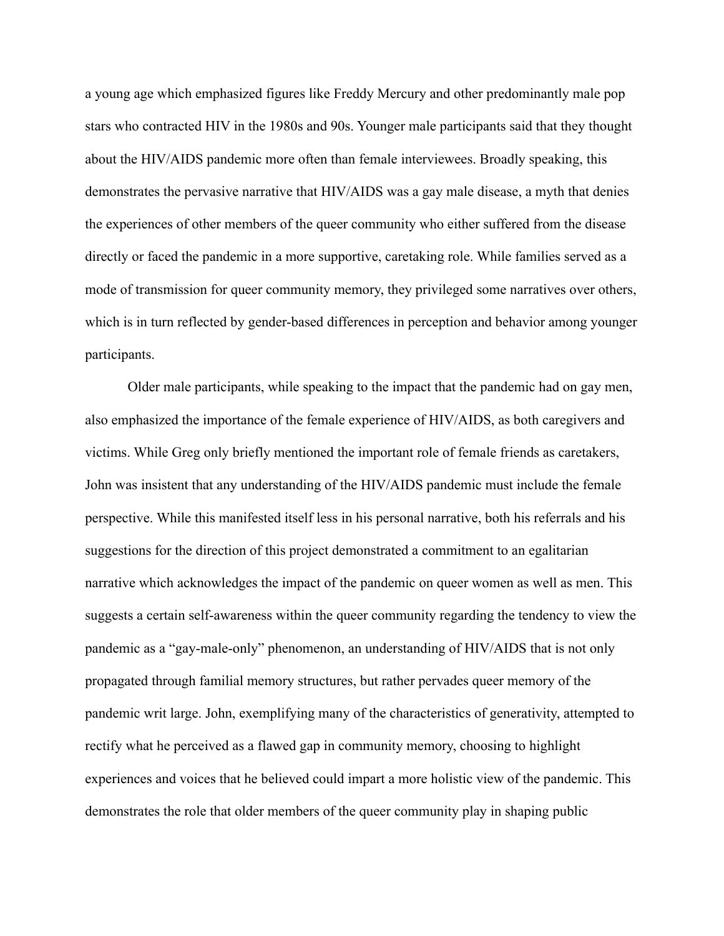a young age which emphasized figures like Freddy Mercury and other predominantly male pop stars who contracted HIV in the 1980s and 90s. Younger male participants said that they thought about the HIV/AIDS pandemic more often than female interviewees. Broadly speaking, this demonstrates the pervasive narrative that HIV/AIDS was a gay male disease, a myth that denies the experiences of other members of the queer community who either suffered from the disease directly or faced the pandemic in a more supportive, caretaking role. While families served as a mode of transmission for queer community memory, they privileged some narratives over others, which is in turn reflected by gender-based differences in perception and behavior among younger participants.

Older male participants, while speaking to the impact that the pandemic had on gay men, also emphasized the importance of the female experience of HIV/AIDS, as both caregivers and victims. While Greg only briefly mentioned the important role of female friends as caretakers, John was insistent that any understanding of the HIV/AIDS pandemic must include the female perspective. While this manifested itself less in his personal narrative, both his referrals and his suggestions for the direction of this project demonstrated a commitment to an egalitarian narrative which acknowledges the impact of the pandemic on queer women as well as men. This suggests a certain self-awareness within the queer community regarding the tendency to view the pandemic as a "gay-male-only" phenomenon, an understanding of HIV/AIDS that is not only propagated through familial memory structures, but rather pervades queer memory of the pandemic writ large. John, exemplifying many of the characteristics of generativity, attempted to rectify what he perceived as a flawed gap in community memory, choosing to highlight experiences and voices that he believed could impart a more holistic view of the pandemic. This demonstrates the role that older members of the queer community play in shaping public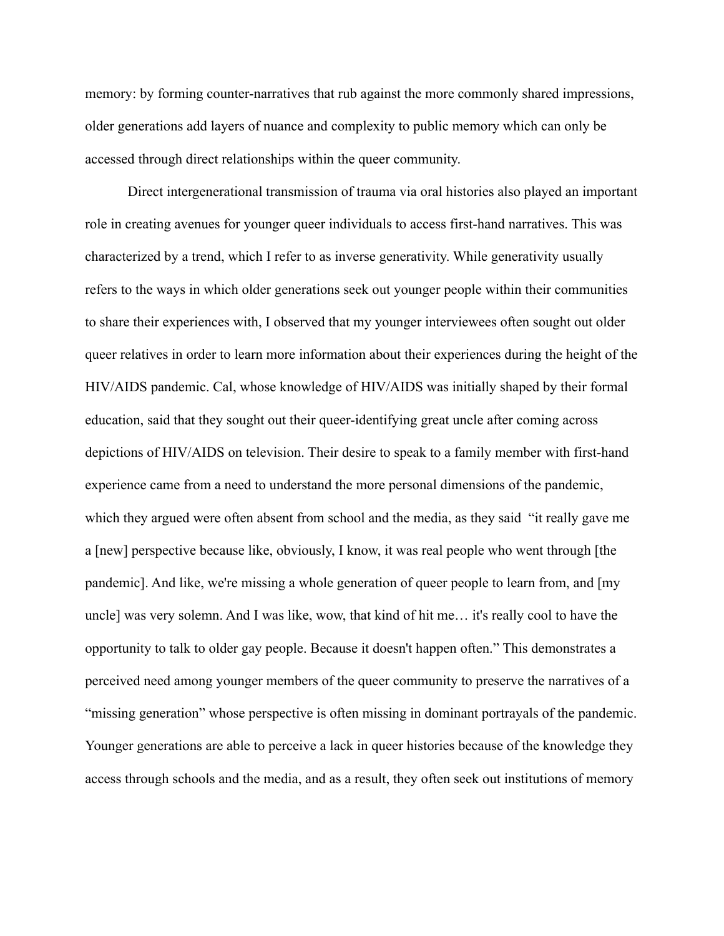memory: by forming counter-narratives that rub against the more commonly shared impressions, older generations add layers of nuance and complexity to public memory which can only be accessed through direct relationships within the queer community.

Direct intergenerational transmission of trauma via oral histories also played an important role in creating avenues for younger queer individuals to access first-hand narratives. This was characterized by a trend, which I refer to as inverse generativity. While generativity usually refers to the ways in which older generations seek out younger people within their communities to share their experiences with, I observed that my younger interviewees often sought out older queer relatives in order to learn more information about their experiences during the height of the HIV/AIDS pandemic. Cal, whose knowledge of HIV/AIDS was initially shaped by their formal education, said that they sought out their queer-identifying great uncle after coming across depictions of HIV/AIDS on television. Their desire to speak to a family member with first-hand experience came from a need to understand the more personal dimensions of the pandemic, which they argued were often absent from school and the media, as they said "it really gave me a [new] perspective because like, obviously, I know, it was real people who went through [the pandemic]. And like, we're missing a whole generation of queer people to learn from, and [my uncle] was very solemn. And I was like, wow, that kind of hit me… it's really cool to have the opportunity to talk to older gay people. Because it doesn't happen often." This demonstrates a perceived need among younger members of the queer community to preserve the narratives of a "missing generation" whose perspective is often missing in dominant portrayals of the pandemic. Younger generations are able to perceive a lack in queer histories because of the knowledge they access through schools and the media, and as a result, they often seek out institutions of memory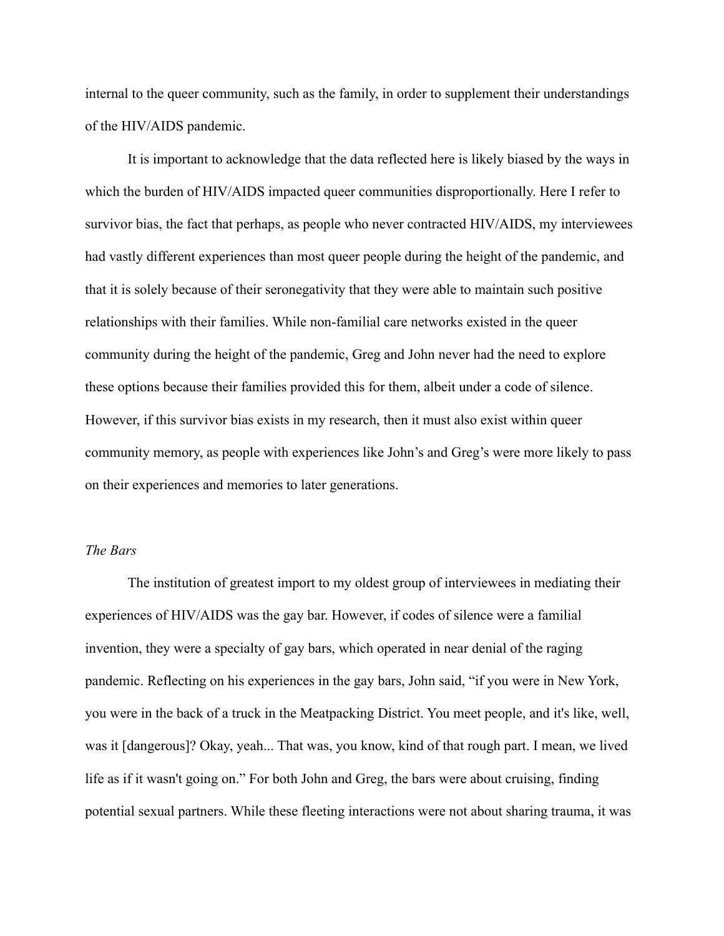internal to the queer community, such as the family, in order to supplement their understandings of the HIV/AIDS pandemic.

It is important to acknowledge that the data reflected here is likely biased by the ways in which the burden of HIV/AIDS impacted queer communities disproportionally. Here I refer to survivor bias, the fact that perhaps, as people who never contracted HIV/AIDS, my interviewees had vastly different experiences than most queer people during the height of the pandemic, and that it is solely because of their seronegativity that they were able to maintain such positive relationships with their families. While non-familial care networks existed in the queer community during the height of the pandemic, Greg and John never had the need to explore these options because their families provided this for them, albeit under a code of silence. However, if this survivor bias exists in my research, then it must also exist within queer community memory, as people with experiences like John's and Greg's were more likely to pass on their experiences and memories to later generations.

#### *The Bars*

The institution of greatest import to my oldest group of interviewees in mediating their experiences of HIV/AIDS was the gay bar. However, if codes of silence were a familial invention, they were a specialty of gay bars, which operated in near denial of the raging pandemic. Reflecting on his experiences in the gay bars, John said, "if you were in New York, you were in the back of a truck in the Meatpacking District. You meet people, and it's like, well, was it [dangerous]? Okay, yeah... That was, you know, kind of that rough part. I mean, we lived life as if it wasn't going on." For both John and Greg, the bars were about cruising, finding potential sexual partners. While these fleeting interactions were not about sharing trauma, it was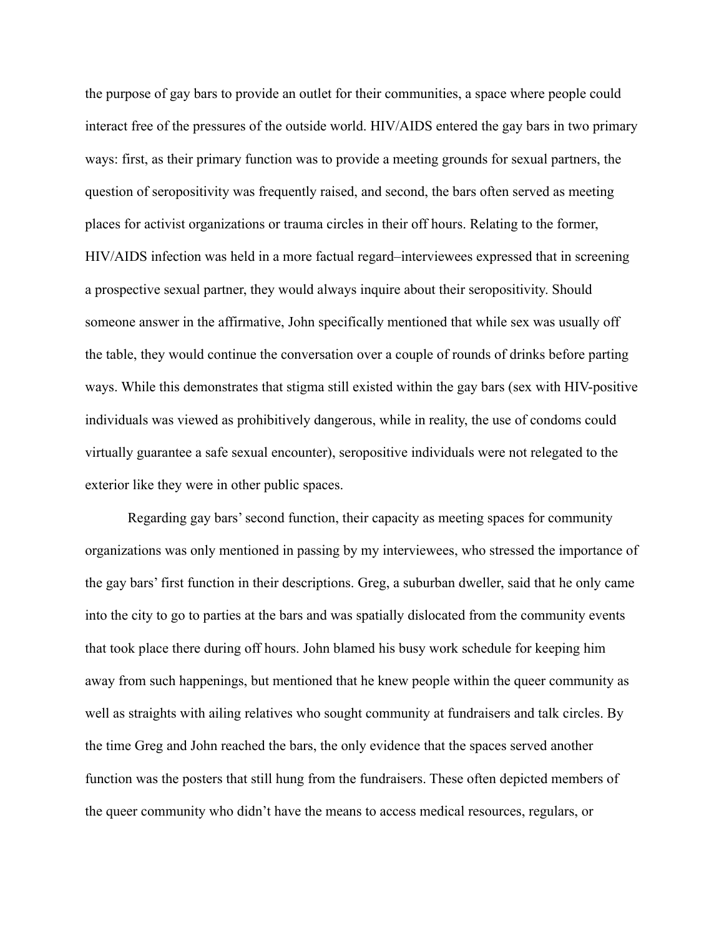the purpose of gay bars to provide an outlet for their communities, a space where people could interact free of the pressures of the outside world. HIV/AIDS entered the gay bars in two primary ways: first, as their primary function was to provide a meeting grounds for sexual partners, the question of seropositivity was frequently raised, and second, the bars often served as meeting places for activist organizations or trauma circles in their off hours. Relating to the former, HIV/AIDS infection was held in a more factual regard–interviewees expressed that in screening a prospective sexual partner, they would always inquire about their seropositivity. Should someone answer in the affirmative, John specifically mentioned that while sex was usually off the table, they would continue the conversation over a couple of rounds of drinks before parting ways. While this demonstrates that stigma still existed within the gay bars (sex with HIV-positive individuals was viewed as prohibitively dangerous, while in reality, the use of condoms could virtually guarantee a safe sexual encounter), seropositive individuals were not relegated to the exterior like they were in other public spaces.

Regarding gay bars' second function, their capacity as meeting spaces for community organizations was only mentioned in passing by my interviewees, who stressed the importance of the gay bars' first function in their descriptions. Greg, a suburban dweller, said that he only came into the city to go to parties at the bars and was spatially dislocated from the community events that took place there during off hours. John blamed his busy work schedule for keeping him away from such happenings, but mentioned that he knew people within the queer community as well as straights with ailing relatives who sought community at fundraisers and talk circles. By the time Greg and John reached the bars, the only evidence that the spaces served another function was the posters that still hung from the fundraisers. These often depicted members of the queer community who didn't have the means to access medical resources, regulars, or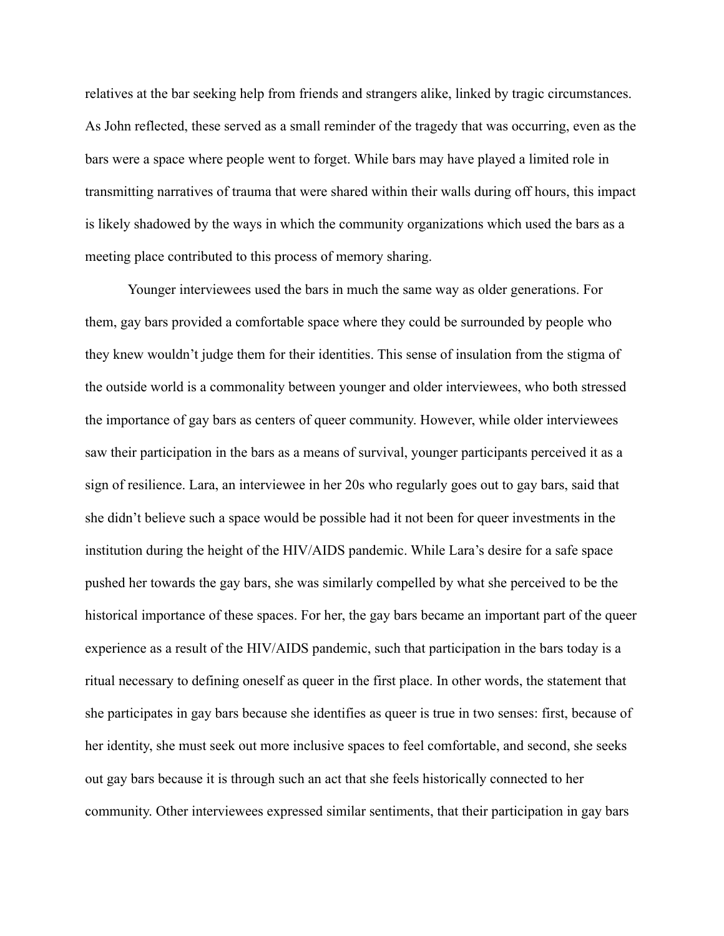relatives at the bar seeking help from friends and strangers alike, linked by tragic circumstances. As John reflected, these served as a small reminder of the tragedy that was occurring, even as the bars were a space where people went to forget. While bars may have played a limited role in transmitting narratives of trauma that were shared within their walls during off hours, this impact is likely shadowed by the ways in which the community organizations which used the bars as a meeting place contributed to this process of memory sharing.

Younger interviewees used the bars in much the same way as older generations. For them, gay bars provided a comfortable space where they could be surrounded by people who they knew wouldn't judge them for their identities. This sense of insulation from the stigma of the outside world is a commonality between younger and older interviewees, who both stressed the importance of gay bars as centers of queer community. However, while older interviewees saw their participation in the bars as a means of survival, younger participants perceived it as a sign of resilience. Lara, an interviewee in her 20s who regularly goes out to gay bars, said that she didn't believe such a space would be possible had it not been for queer investments in the institution during the height of the HIV/AIDS pandemic. While Lara's desire for a safe space pushed her towards the gay bars, she was similarly compelled by what she perceived to be the historical importance of these spaces. For her, the gay bars became an important part of the queer experience as a result of the HIV/AIDS pandemic, such that participation in the bars today is a ritual necessary to defining oneself as queer in the first place. In other words, the statement that she participates in gay bars because she identifies as queer is true in two senses: first, because of her identity, she must seek out more inclusive spaces to feel comfortable, and second, she seeks out gay bars because it is through such an act that she feels historically connected to her community. Other interviewees expressed similar sentiments, that their participation in gay bars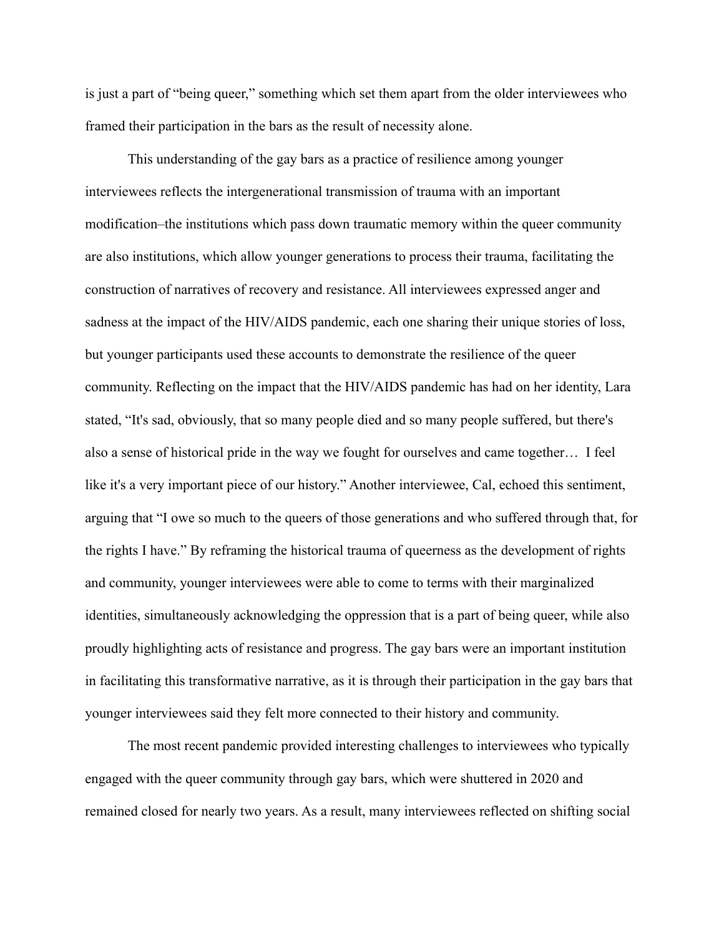is just a part of "being queer," something which set them apart from the older interviewees who framed their participation in the bars as the result of necessity alone.

This understanding of the gay bars as a practice of resilience among younger interviewees reflects the intergenerational transmission of trauma with an important modification–the institutions which pass down traumatic memory within the queer community are also institutions, which allow younger generations to process their trauma, facilitating the construction of narratives of recovery and resistance. All interviewees expressed anger and sadness at the impact of the HIV/AIDS pandemic, each one sharing their unique stories of loss, but younger participants used these accounts to demonstrate the resilience of the queer community. Reflecting on the impact that the HIV/AIDS pandemic has had on her identity, Lara stated, "It's sad, obviously, that so many people died and so many people suffered, but there's also a sense of historical pride in the way we fought for ourselves and came together… I feel like it's a very important piece of our history." Another interviewee, Cal, echoed this sentiment, arguing that "I owe so much to the queers of those generations and who suffered through that, for the rights I have." By reframing the historical trauma of queerness as the development of rights and community, younger interviewees were able to come to terms with their marginalized identities, simultaneously acknowledging the oppression that is a part of being queer, while also proudly highlighting acts of resistance and progress. The gay bars were an important institution in facilitating this transformative narrative, as it is through their participation in the gay bars that younger interviewees said they felt more connected to their history and community.

The most recent pandemic provided interesting challenges to interviewees who typically engaged with the queer community through gay bars, which were shuttered in 2020 and remained closed for nearly two years. As a result, many interviewees reflected on shifting social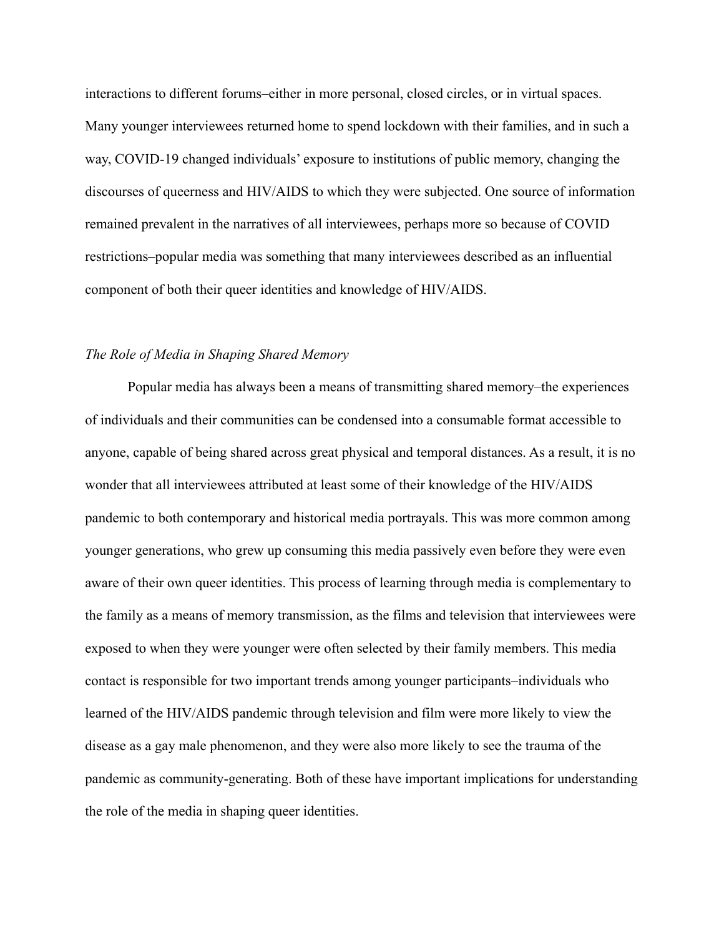interactions to different forums–either in more personal, closed circles, or in virtual spaces. Many younger interviewees returned home to spend lockdown with their families, and in such a way, COVID-19 changed individuals' exposure to institutions of public memory, changing the discourses of queerness and HIV/AIDS to which they were subjected. One source of information remained prevalent in the narratives of all interviewees, perhaps more so because of COVID restrictions–popular media was something that many interviewees described as an influential component of both their queer identities and knowledge of HIV/AIDS.

## *The Role of Media in Shaping Shared Memory*

Popular media has always been a means of transmitting shared memory–the experiences of individuals and their communities can be condensed into a consumable format accessible to anyone, capable of being shared across great physical and temporal distances. As a result, it is no wonder that all interviewees attributed at least some of their knowledge of the HIV/AIDS pandemic to both contemporary and historical media portrayals. This was more common among younger generations, who grew up consuming this media passively even before they were even aware of their own queer identities. This process of learning through media is complementary to the family as a means of memory transmission, as the films and television that interviewees were exposed to when they were younger were often selected by their family members. This media contact is responsible for two important trends among younger participants–individuals who learned of the HIV/AIDS pandemic through television and film were more likely to view the disease as a gay male phenomenon, and they were also more likely to see the trauma of the pandemic as community-generating. Both of these have important implications for understanding the role of the media in shaping queer identities.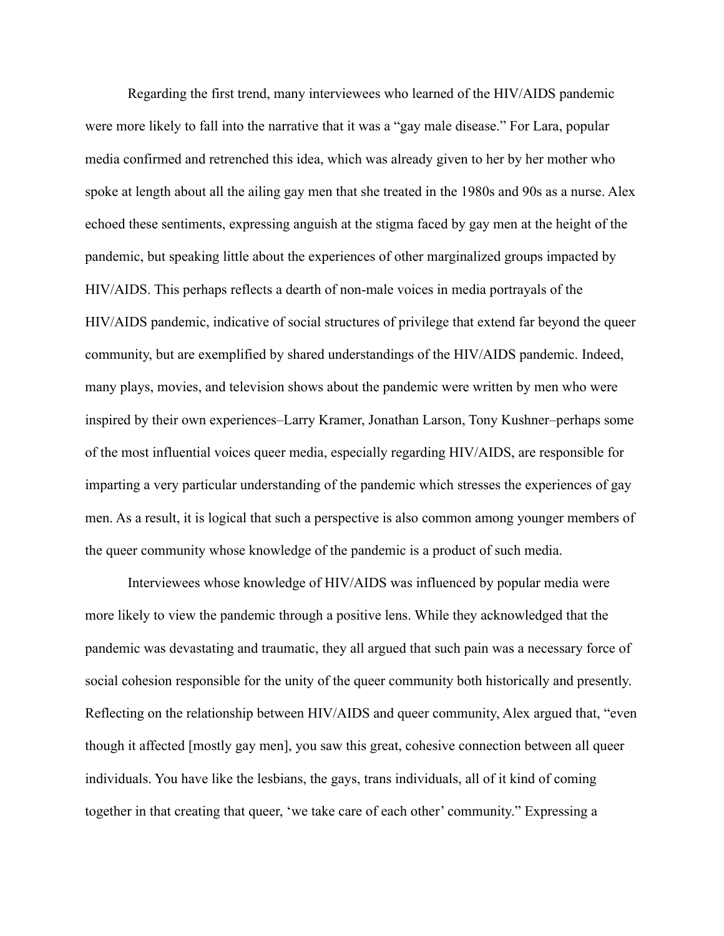Regarding the first trend, many interviewees who learned of the HIV/AIDS pandemic were more likely to fall into the narrative that it was a "gay male disease." For Lara, popular media confirmed and retrenched this idea, which was already given to her by her mother who spoke at length about all the ailing gay men that she treated in the 1980s and 90s as a nurse. Alex echoed these sentiments, expressing anguish at the stigma faced by gay men at the height of the pandemic, but speaking little about the experiences of other marginalized groups impacted by HIV/AIDS. This perhaps reflects a dearth of non-male voices in media portrayals of the HIV/AIDS pandemic, indicative of social structures of privilege that extend far beyond the queer community, but are exemplified by shared understandings of the HIV/AIDS pandemic. Indeed, many plays, movies, and television shows about the pandemic were written by men who were inspired by their own experiences–Larry Kramer, Jonathan Larson, Tony Kushner–perhaps some of the most influential voices queer media, especially regarding HIV/AIDS, are responsible for imparting a very particular understanding of the pandemic which stresses the experiences of gay men. As a result, it is logical that such a perspective is also common among younger members of the queer community whose knowledge of the pandemic is a product of such media.

Interviewees whose knowledge of HIV/AIDS was influenced by popular media were more likely to view the pandemic through a positive lens. While they acknowledged that the pandemic was devastating and traumatic, they all argued that such pain was a necessary force of social cohesion responsible for the unity of the queer community both historically and presently. Reflecting on the relationship between HIV/AIDS and queer community, Alex argued that, "even though it affected [mostly gay men], you saw this great, cohesive connection between all queer individuals. You have like the lesbians, the gays, trans individuals, all of it kind of coming together in that creating that queer, 'we take care of each other' community." Expressing a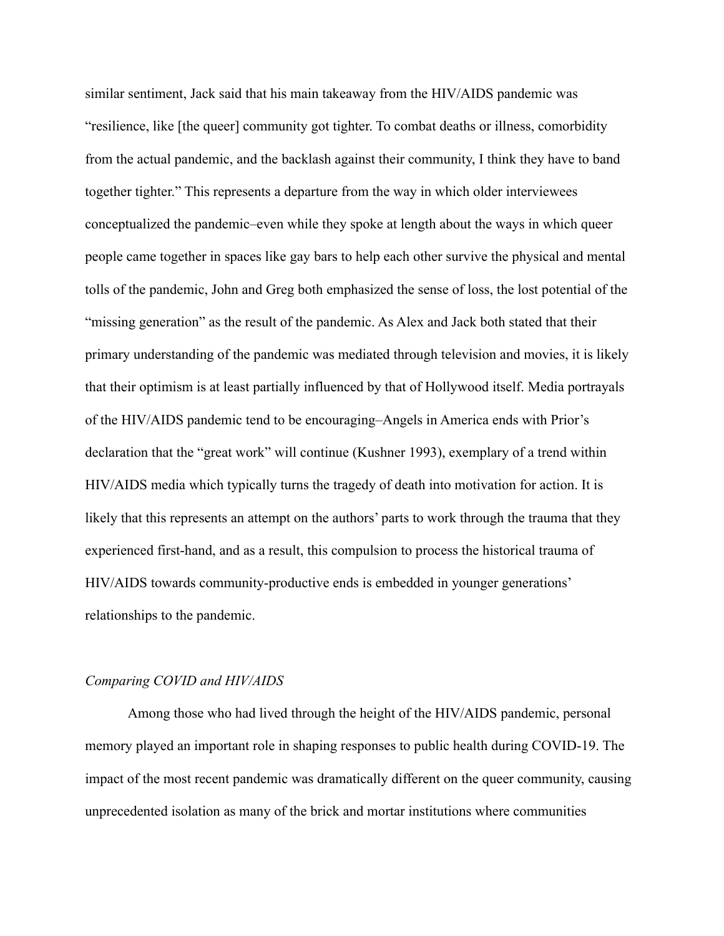similar sentiment, Jack said that his main takeaway from the HIV/AIDS pandemic was "resilience, like [the queer] community got tighter. To combat deaths or illness, comorbidity from the actual pandemic, and the backlash against their community, I think they have to band together tighter." This represents a departure from the way in which older interviewees conceptualized the pandemic–even while they spoke at length about the ways in which queer people came together in spaces like gay bars to help each other survive the physical and mental tolls of the pandemic, John and Greg both emphasized the sense of loss, the lost potential of the "missing generation" as the result of the pandemic. As Alex and Jack both stated that their primary understanding of the pandemic was mediated through television and movies, it is likely that their optimism is at least partially influenced by that of Hollywood itself. Media portrayals of the HIV/AIDS pandemic tend to be encouraging–Angels in America ends with Prior's declaration that the "great work" will continue (Kushner 1993), exemplary of a trend within HIV/AIDS media which typically turns the tragedy of death into motivation for action. It is likely that this represents an attempt on the authors' parts to work through the trauma that they experienced first-hand, and as a result, this compulsion to process the historical trauma of HIV/AIDS towards community-productive ends is embedded in younger generations' relationships to the pandemic.

#### *Comparing COVID and HIV/AIDS*

Among those who had lived through the height of the HIV/AIDS pandemic, personal memory played an important role in shaping responses to public health during COVID-19. The impact of the most recent pandemic was dramatically different on the queer community, causing unprecedented isolation as many of the brick and mortar institutions where communities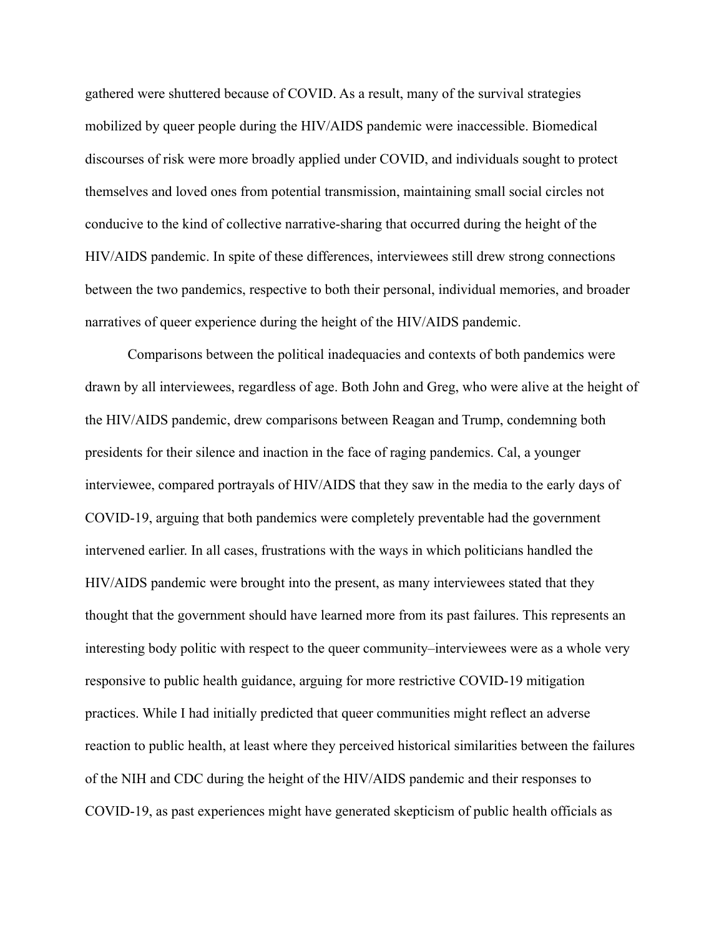gathered were shuttered because of COVID. As a result, many of the survival strategies mobilized by queer people during the HIV/AIDS pandemic were inaccessible. Biomedical discourses of risk were more broadly applied under COVID, and individuals sought to protect themselves and loved ones from potential transmission, maintaining small social circles not conducive to the kind of collective narrative-sharing that occurred during the height of the HIV/AIDS pandemic. In spite of these differences, interviewees still drew strong connections between the two pandemics, respective to both their personal, individual memories, and broader narratives of queer experience during the height of the HIV/AIDS pandemic.

Comparisons between the political inadequacies and contexts of both pandemics were drawn by all interviewees, regardless of age. Both John and Greg, who were alive at the height of the HIV/AIDS pandemic, drew comparisons between Reagan and Trump, condemning both presidents for their silence and inaction in the face of raging pandemics. Cal, a younger interviewee, compared portrayals of HIV/AIDS that they saw in the media to the early days of COVID-19, arguing that both pandemics were completely preventable had the government intervened earlier. In all cases, frustrations with the ways in which politicians handled the HIV/AIDS pandemic were brought into the present, as many interviewees stated that they thought that the government should have learned more from its past failures. This represents an interesting body politic with respect to the queer community–interviewees were as a whole very responsive to public health guidance, arguing for more restrictive COVID-19 mitigation practices. While I had initially predicted that queer communities might reflect an adverse reaction to public health, at least where they perceived historical similarities between the failures of the NIH and CDC during the height of the HIV/AIDS pandemic and their responses to COVID-19, as past experiences might have generated skepticism of public health officials as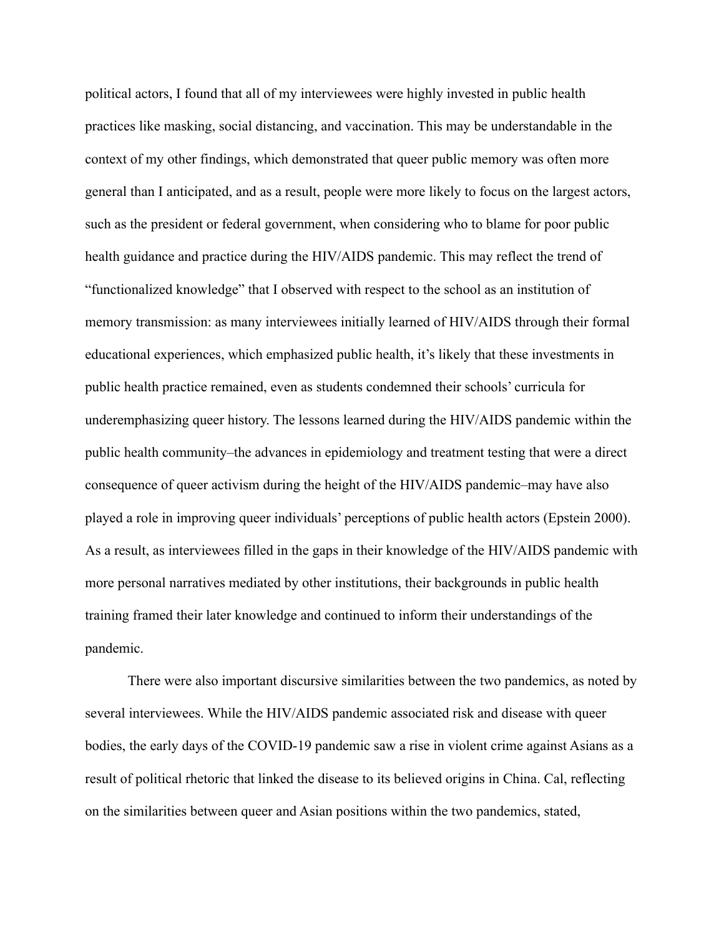political actors, I found that all of my interviewees were highly invested in public health practices like masking, social distancing, and vaccination. This may be understandable in the context of my other findings, which demonstrated that queer public memory was often more general than I anticipated, and as a result, people were more likely to focus on the largest actors, such as the president or federal government, when considering who to blame for poor public health guidance and practice during the HIV/AIDS pandemic. This may reflect the trend of "functionalized knowledge" that I observed with respect to the school as an institution of memory transmission: as many interviewees initially learned of HIV/AIDS through their formal educational experiences, which emphasized public health, it's likely that these investments in public health practice remained, even as students condemned their schools' curricula for underemphasizing queer history. The lessons learned during the HIV/AIDS pandemic within the public health community–the advances in epidemiology and treatment testing that were a direct consequence of queer activism during the height of the HIV/AIDS pandemic–may have also played a role in improving queer individuals' perceptions of public health actors (Epstein 2000). As a result, as interviewees filled in the gaps in their knowledge of the HIV/AIDS pandemic with more personal narratives mediated by other institutions, their backgrounds in public health training framed their later knowledge and continued to inform their understandings of the pandemic.

There were also important discursive similarities between the two pandemics, as noted by several interviewees. While the HIV/AIDS pandemic associated risk and disease with queer bodies, the early days of the COVID-19 pandemic saw a rise in violent crime against Asians as a result of political rhetoric that linked the disease to its believed origins in China. Cal, reflecting on the similarities between queer and Asian positions within the two pandemics, stated,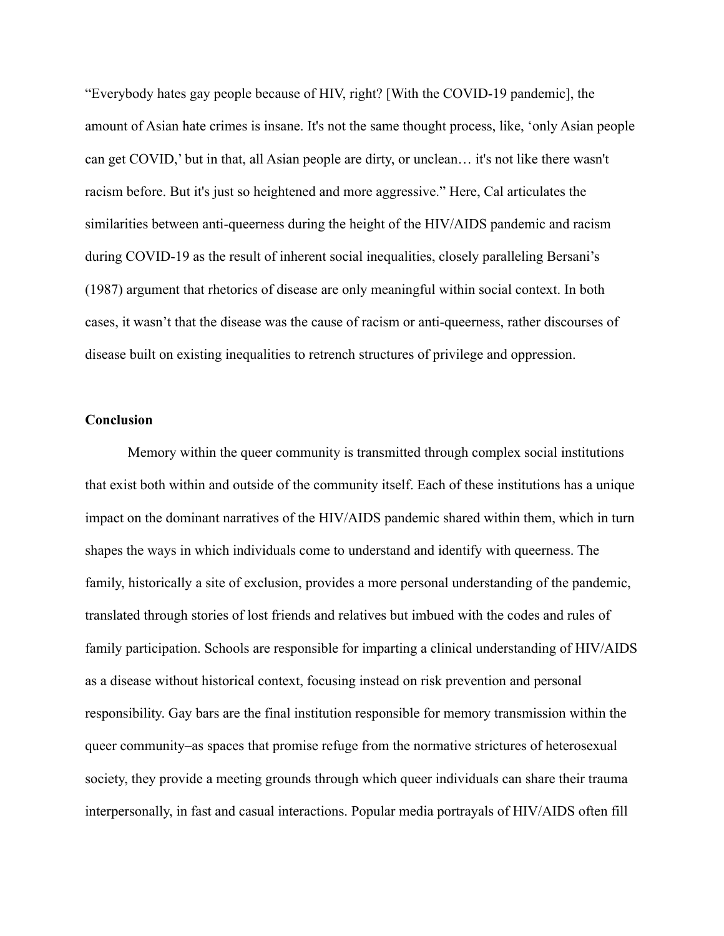"Everybody hates gay people because of HIV, right? [With the COVID-19 pandemic], the amount of Asian hate crimes is insane. It's not the same thought process, like, 'only Asian people can get COVID,' but in that, all Asian people are dirty, or unclean… it's not like there wasn't racism before. But it's just so heightened and more aggressive." Here, Cal articulates the similarities between anti-queerness during the height of the HIV/AIDS pandemic and racism during COVID-19 as the result of inherent social inequalities, closely paralleling Bersani's (1987) argument that rhetorics of disease are only meaningful within social context. In both cases, it wasn't that the disease was the cause of racism or anti-queerness, rather discourses of disease built on existing inequalities to retrench structures of privilege and oppression.

#### **Conclusion**

Memory within the queer community is transmitted through complex social institutions that exist both within and outside of the community itself. Each of these institutions has a unique impact on the dominant narratives of the HIV/AIDS pandemic shared within them, which in turn shapes the ways in which individuals come to understand and identify with queerness. The family, historically a site of exclusion, provides a more personal understanding of the pandemic, translated through stories of lost friends and relatives but imbued with the codes and rules of family participation. Schools are responsible for imparting a clinical understanding of HIV/AIDS as a disease without historical context, focusing instead on risk prevention and personal responsibility. Gay bars are the final institution responsible for memory transmission within the queer community–as spaces that promise refuge from the normative strictures of heterosexual society, they provide a meeting grounds through which queer individuals can share their trauma interpersonally, in fast and casual interactions. Popular media portrayals of HIV/AIDS often fill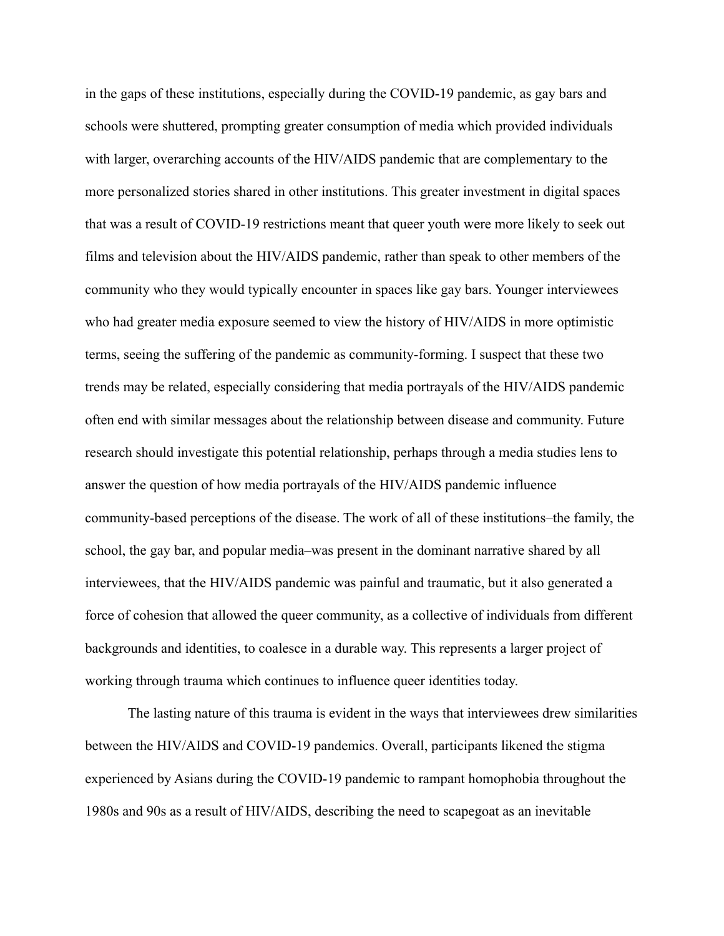in the gaps of these institutions, especially during the COVID-19 pandemic, as gay bars and schools were shuttered, prompting greater consumption of media which provided individuals with larger, overarching accounts of the HIV/AIDS pandemic that are complementary to the more personalized stories shared in other institutions. This greater investment in digital spaces that was a result of COVID-19 restrictions meant that queer youth were more likely to seek out films and television about the HIV/AIDS pandemic, rather than speak to other members of the community who they would typically encounter in spaces like gay bars. Younger interviewees who had greater media exposure seemed to view the history of HIV/AIDS in more optimistic terms, seeing the suffering of the pandemic as community-forming. I suspect that these two trends may be related, especially considering that media portrayals of the HIV/AIDS pandemic often end with similar messages about the relationship between disease and community. Future research should investigate this potential relationship, perhaps through a media studies lens to answer the question of how media portrayals of the HIV/AIDS pandemic influence community-based perceptions of the disease. The work of all of these institutions–the family, the school, the gay bar, and popular media–was present in the dominant narrative shared by all interviewees, that the HIV/AIDS pandemic was painful and traumatic, but it also generated a force of cohesion that allowed the queer community, as a collective of individuals from different backgrounds and identities, to coalesce in a durable way. This represents a larger project of working through trauma which continues to influence queer identities today.

The lasting nature of this trauma is evident in the ways that interviewees drew similarities between the HIV/AIDS and COVID-19 pandemics. Overall, participants likened the stigma experienced by Asians during the COVID-19 pandemic to rampant homophobia throughout the 1980s and 90s as a result of HIV/AIDS, describing the need to scapegoat as an inevitable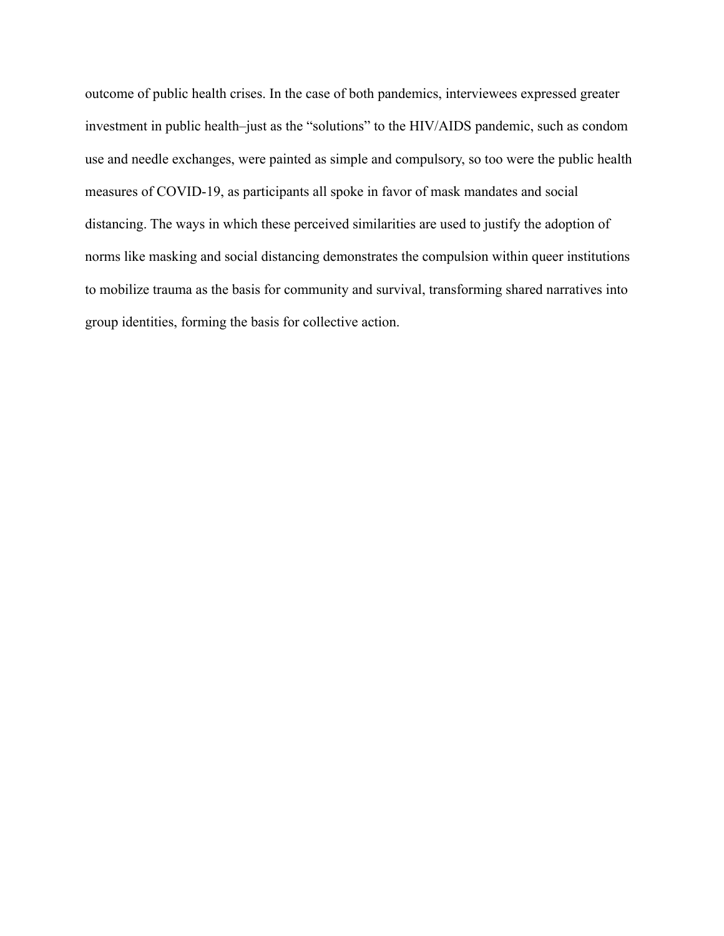outcome of public health crises. In the case of both pandemics, interviewees expressed greater investment in public health–just as the "solutions" to the HIV/AIDS pandemic, such as condom use and needle exchanges, were painted as simple and compulsory, so too were the public health measures of COVID-19, as participants all spoke in favor of mask mandates and social distancing. The ways in which these perceived similarities are used to justify the adoption of norms like masking and social distancing demonstrates the compulsion within queer institutions to mobilize trauma as the basis for community and survival, transforming shared narratives into group identities, forming the basis for collective action.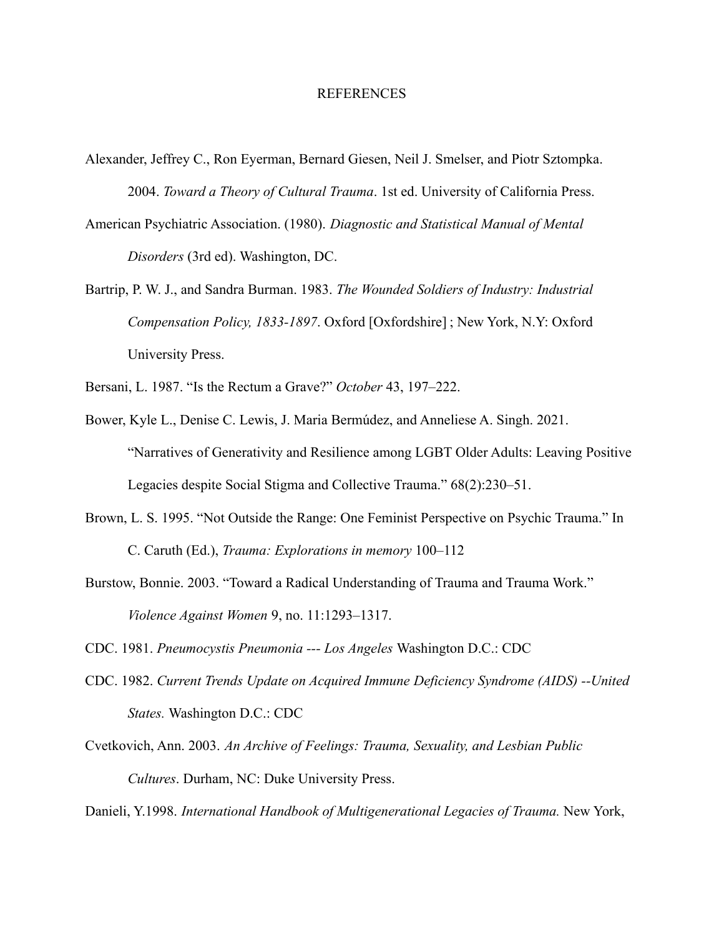#### REFERENCES

- Alexander, Jeffrey C., Ron Eyerman, Bernard Giesen, Neil J. Smelser, and Piotr Sztompka. 2004. *Toward a Theory of Cultural Trauma*. 1st ed. University of California Press.
- American Psychiatric Association. (1980). *Diagnostic and Statistical Manual of Mental Disorders* (3rd ed). Washington, DC.
- Bartrip, P. W. J., and Sandra Burman. 1983. *The Wounded Soldiers of Industry: Industrial Compensation Policy, 1833-1897*. Oxford [Oxfordshire] ; New York, N.Y: Oxford University Press.
- Bersani, L. 1987. "Is the Rectum a Grave?" *October* 43, 197–222.
- Bower, Kyle L., Denise C. Lewis, J. Maria Bermúdez, and Anneliese A. Singh. 2021. "Narratives of Generativity and Resilience among LGBT Older Adults: Leaving Positive Legacies despite Social Stigma and Collective Trauma." 68(2):230–51.
- Brown, L. S. 1995. "Not Outside the Range: One Feminist Perspective on Psychic Trauma." In C. Caruth (Ed.), *Trauma: Explorations in memory* 100–112
- Burstow, Bonnie. 2003. "Toward a Radical Understanding of Trauma and Trauma Work." *Violence Against Women* 9, no. 11:1293–1317.
- CDC. 1981. *Pneumocystis Pneumonia --- Los Angeles* Washington D.C.: CDC
- CDC. 1982. *Current Trends Update on Acquired Immune Deficiency Syndrome (AIDS) --United States.* Washington D.C.: CDC
- Cvetkovich, Ann. 2003. *An Archive of Feelings: Trauma, Sexuality, and Lesbian Public Cultures*. Durham, NC: Duke University Press.

Danieli, Y.1998. *International Handbook of Multigenerational Legacies of Trauma.* New York,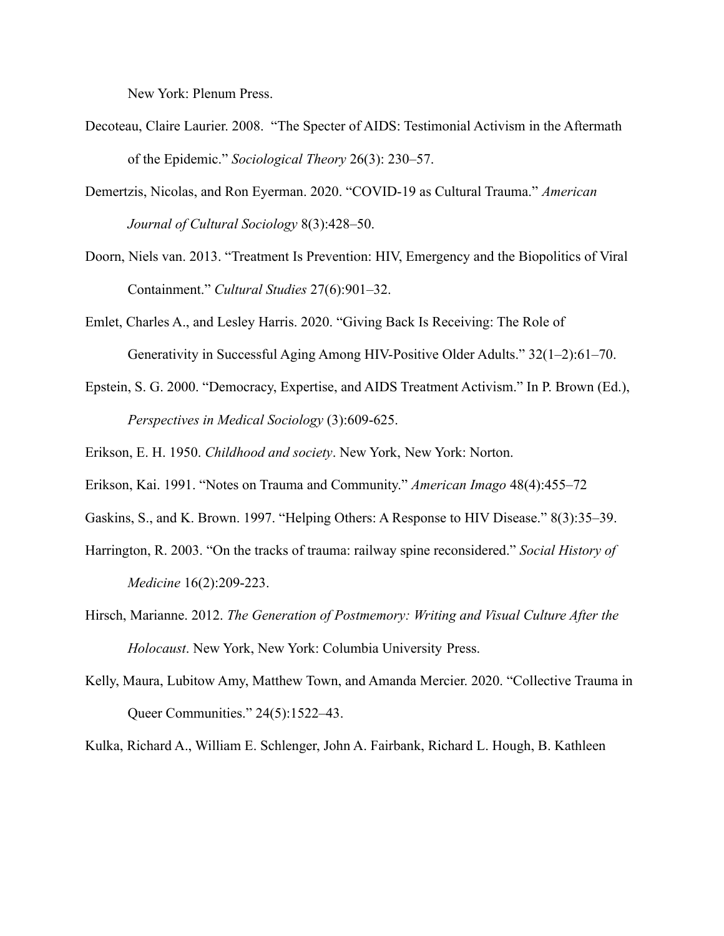New York: Plenum Press.

- Decoteau, Claire Laurier. 2008. "The Specter of AIDS: Testimonial Activism in the Aftermath of the Epidemic." *Sociological Theory* 26(3): 230–57.
- Demertzis, Nicolas, and Ron Eyerman. 2020. "COVID-19 as Cultural Trauma." *American Journal of Cultural Sociology* 8(3):428–50.
- Doorn, Niels van. 2013. "Treatment Is Prevention: HIV, Emergency and the Biopolitics of Viral Containment." *Cultural Studies* 27(6):901–32.
- Emlet, Charles A., and Lesley Harris. 2020. "Giving Back Is Receiving: The Role of Generativity in Successful Aging Among HIV-Positive Older Adults." 32(1–2):61–70.
- Epstein, S. G. 2000. "Democracy, Expertise, and AIDS Treatment Activism." In P. Brown (Ed.), *Perspectives in Medical Sociology* (3):609-625.
- Erikson, E. H. 1950. *Childhood and society*. New York, New York: Norton.
- Erikson, Kai. 1991. "Notes on Trauma and Community." *American Imago* 48(4):455–72
- Gaskins, S., and K. Brown. 1997. "Helping Others: A Response to HIV Disease." 8(3):35–39.
- Harrington, R. 2003. "On the tracks of trauma: railway spine reconsidered." *Social History of Medicine* 16(2):209-223.
- Hirsch, Marianne. 2012. *The Generation of Postmemory: Writing and Visual Culture After the Holocaust*. New York, New York: Columbia University Press.
- Kelly, Maura, Lubitow Amy, Matthew Town, and Amanda Mercier. 2020. "Collective Trauma in Queer Communities." 24(5):1522–43.

Kulka, Richard A., William E. Schlenger, John A. Fairbank, Richard L. Hough, B. Kathleen